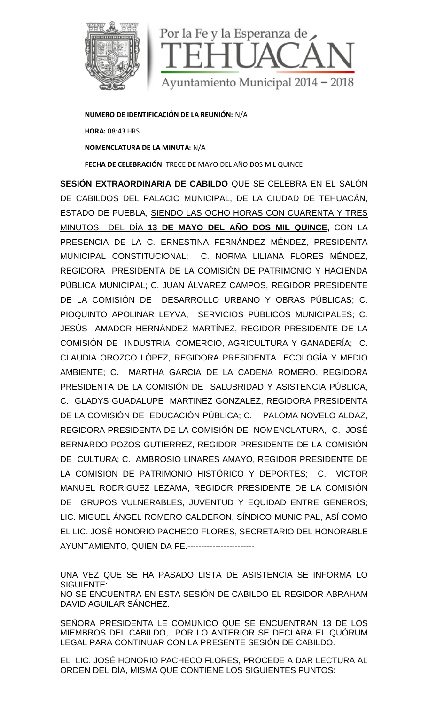

**NUMERO DE IDENTIFICACIÓN DE LA REUNIÓN:** N/A **HORA:** 08:43 HRS **NOMENCLATURA DE LA MINUTA:** N/A **FECHA DE CELEBRACIÓN**: TRECE DE MAYO DEL AÑO DOS MIL QUINCE

**SESIÓN EXTRAORDINARIA DE CABILDO** QUE SE CELEBRA EN EL SALÓN DE CABILDOS DEL PALACIO MUNICIPAL, DE LA CIUDAD DE TEHUACÁN, ESTADO DE PUEBLA, SIENDO LAS OCHO HORAS CON CUARENTA Y TRES MINUTOS DEL DÍA **13 DE MAYO DEL AÑO DOS MIL QUINCE,** CON LA PRESENCIA DE LA C. ERNESTINA FERNÁNDEZ MÉNDEZ, PRESIDENTA MUNICIPAL CONSTITUCIONAL; C. NORMA LILIANA FLORES MÉNDEZ, REGIDORA PRESIDENTA DE LA COMISIÓN DE PATRIMONIO Y HACIENDA PÚBLICA MUNICIPAL; C. JUAN ÁLVAREZ CAMPOS, REGIDOR PRESIDENTE DE LA COMISIÓN DE DESARROLLO URBANO Y OBRAS PÚBLICAS; C. PIOQUINTO APOLINAR LEYVA, SERVICIOS PÚBLICOS MUNICIPALES; C. JESÚS AMADOR HERNÁNDEZ MARTÍNEZ, REGIDOR PRESIDENTE DE LA COMISIÓN DE INDUSTRIA, COMERCIO, AGRICULTURA Y GANADERÍA; C. CLAUDIA OROZCO LÓPEZ, REGIDORA PRESIDENTA ECOLOGÍA Y MEDIO AMBIENTE; C. MARTHA GARCIA DE LA CADENA ROMERO, REGIDORA PRESIDENTA DE LA COMISIÓN DE SALUBRIDAD Y ASISTENCIA PÚBLICA, C. GLADYS GUADALUPE MARTINEZ GONZALEZ, REGIDORA PRESIDENTA DE LA COMISIÓN DE EDUCACIÓN PÚBLICA; C. PALOMA NOVELO ALDAZ, REGIDORA PRESIDENTA DE LA COMISIÓN DE NOMENCLATURA, C. JOSÉ BERNARDO POZOS GUTIERREZ, REGIDOR PRESIDENTE DE LA COMISIÓN DE CULTURA; C. AMBROSIO LINARES AMAYO, REGIDOR PRESIDENTE DE LA COMISIÓN DE PATRIMONIO HISTÓRICO Y DEPORTES; C. VICTOR MANUEL RODRIGUEZ LEZAMA, REGIDOR PRESIDENTE DE LA COMISIÓN DE GRUPOS VULNERABLES, JUVENTUD Y EQUIDAD ENTRE GENEROS; LIC. MIGUEL ÁNGEL ROMERO CALDERON, SÍNDICO MUNICIPAL, ASÍ COMO EL LIC. JOSÉ HONORIO PACHECO FLORES, SECRETARIO DEL HONORABLE AYUNTAMIENTO, QUIEN DA FE.------------------------

UNA VEZ QUE SE HA PASADO LISTA DE ASISTENCIA SE INFORMA LO SIGUIENTE: NO SE ENCUENTRA EN ESTA SESIÓN DE CABILDO EL REGIDOR ABRAHAM DAVID AGUILAR SÁNCHEZ.

SEÑORA PRESIDENTA LE COMUNICO QUE SE ENCUENTRAN 13 DE LOS MIEMBROS DEL CABILDO, POR LO ANTERIOR SE DECLARA EL QUÓRUM LEGAL PARA CONTINUAR CON LA PRESENTE SESIÓN DE CABILDO.

EL LIC. JOSÉ HONORIO PACHECO FLORES, PROCEDE A DAR LECTURA AL ORDEN DEL DÍA, MISMA QUE CONTIENE LOS SIGUIENTES PUNTOS: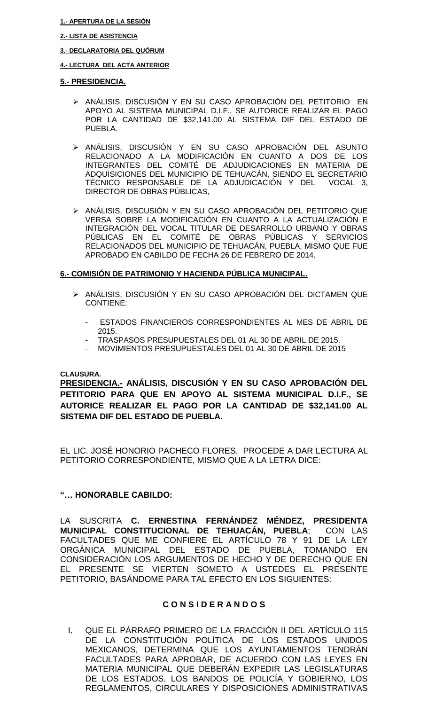#### **1.- APERTURA DE LA SESIÓN**

### **2.- LISTA DE ASISTENCIA**

### **3.- DECLARATORIA DEL QUÓRUM**

#### **4.- LECTURA DEL ACTA ANTERIOR**

### **5.- PRESIDENCIA.**

- ANÁLISIS, DISCUSIÓN Y EN SU CASO APROBACIÓN DEL PETITORIO EN APOYO AL SISTEMA MUNICIPAL D.I.F., SE AUTORICE REALIZAR EL PAGO POR LA CANTIDAD DE \$32,141.00 AL SISTEMA DIF DEL ESTADO DE PUEBLA.
- ANÁLISIS, DISCUSIÓN Y EN SU CASO APROBACIÓN DEL ASUNTO RELACIONADO A LA MODIFICACIÓN EN CUANTO A DOS DE LOS INTEGRANTES DEL COMITÉ DE ADJUDICACIONES EN MATERIA DE ADQUISICIONES DEL MUNICIPIO DE TEHUACÁN, SIENDO EL SECRETARIO TÉCNICO RESPONSABLE DE LA ADJUDICACIÓN Y DEL VOCAL 3, DIRECTOR DE OBRAS PÚBLICAS,
- ANÁLISIS, DISCUSIÓN Y EN SU CASO APROBACIÓN DEL PETITORIO QUE VERSA SOBRE LA MODIFICACIÓN EN CUANTO A LA ACTUALIZACIÓN E INTEGRACIÓN DEL VOCAL TITULAR DE DESARROLLO URBANO Y OBRAS PÚBLICAS EN EL COMITÉ DE OBRAS PÚBLICAS Y SERVICIOS RELACIONADOS DEL MUNICIPIO DE TEHUACÁN, PUEBLA, MISMO QUE FUE APROBADO EN CABILDO DE FECHA 26 DE FEBRERO DE 2014.

### **6.- COMISIÓN DE PATRIMONIO Y HACIENDA PÚBLICA MUNICIPAL.**

- ANÁLISIS, DISCUSIÓN Y EN SU CASO APROBACIÓN DEL DICTAMEN QUE CONTIENE:
	- ESTADOS FINANCIEROS CORRESPONDIENTES AL MES DE ABRIL DE 2015.
	- TRASPASOS PRESUPUESTALES DEL 01 AL 30 DE ABRIL DE 2015.
	- MOVIMIENTOS PRESUPUESTALES DEL 01 AL 30 DE ABRIL DE 2015

### **CLAUSURA.**

**PRESIDENCIA.- ANÁLISIS, DISCUSIÓN Y EN SU CASO APROBACIÓN DEL PETITORIO PARA QUE EN APOYO AL SISTEMA MUNICIPAL D.I.F., SE AUTORICE REALIZAR EL PAGO POR LA CANTIDAD DE \$32,141.00 AL SISTEMA DIF DEL ESTADO DE PUEBLA.**

EL LIC. JOSÉ HONORIO PACHECO FLORES, PROCEDE A DAR LECTURA AL PETITORIO CORRESPONDIENTE, MISMO QUE A LA LETRA DICE:

### **"… HONORABLE CABILDO:**

LA SUSCRITA **C. ERNESTINA FERNÁNDEZ MÉNDEZ, PRESIDENTA MUNICIPAL CONSTITUCIONAL DE TEHUACÁN, PUEBLA**; CON LAS FACULTADES QUE ME CONFIERE EL ARTÍCULO 78 Y 91 DE LA LEY ORGÁNICA MUNICIPAL DEL ESTADO DE PUEBLA, TOMANDO EN CONSIDERACIÓN LOS ARGUMENTOS DE HECHO Y DE DERECHO QUE EN EL PRESENTE SE VIERTEN SOMETO A USTEDES EL PRESENTE PETITORIO, BASÁNDOME PARA TAL EFECTO EN LOS SIGUIENTES:

### **C O N S I D E R A N D O S**

I. QUE EL PÁRRAFO PRIMERO DE LA FRACCIÓN II DEL ARTÍCULO 115 DE LA CONSTITUCIÓN POLÍTICA DE LOS ESTADOS UNIDOS MEXICANOS, DETERMINA QUE LOS AYUNTAMIENTOS TENDRÁN FACULTADES PARA APROBAR, DE ACUERDO CON LAS LEYES EN MATERIA MUNICIPAL QUE DEBERÁN EXPEDIR LAS LEGISLATURAS DE LOS ESTADOS, LOS BANDOS DE POLICÍA Y GOBIERNO, LOS REGLAMENTOS, CIRCULARES Y DISPOSICIONES ADMINISTRATIVAS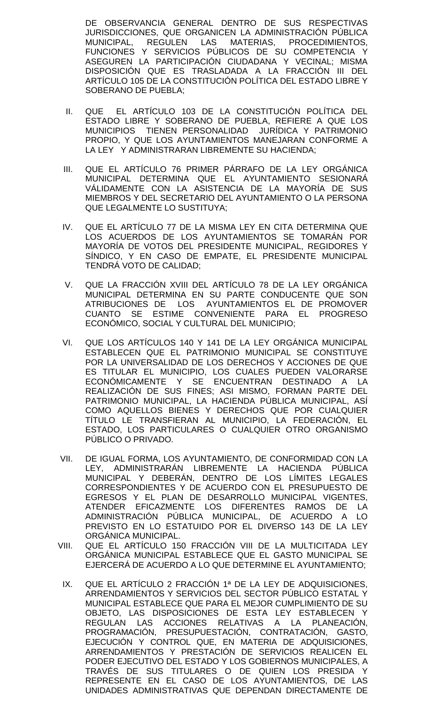DE OBSERVANCIA GENERAL DENTRO DE SUS RESPECTIVAS JURISDICCIONES, QUE ORGANICEN LA ADMINISTRACIÓN PÚBLICA MUNICIPAL, REGULEN LAS MATERIAS, PROCEDIMIENTOS, FUNCIONES Y SERVICIOS PÚBLICOS DE SU COMPETENCIA Y ASEGUREN LA PARTICIPACIÓN CIUDADANA Y VECINAL; MISMA DISPOSICIÓN QUE ES TRASLADADA A LA FRACCIÓN III DEL ARTÍCULO 105 DE LA CONSTITUCIÓN POLÍTICA DEL ESTADO LIBRE Y SOBERANO DE PUEBLA;

- II. QUE EL ARTÍCULO 103 DE LA CONSTITUCIÓN POLÍTICA DEL ESTADO LIBRE Y SOBERANO DE PUEBLA, REFIERE A QUE LOS MUNICIPIOS TIENEN PERSONALIDAD JURÍDICA Y PATRIMONIO PROPIO, Y QUE LOS AYUNTAMIENTOS MANEJARAN CONFORME A LA LEY Y ADMINISTRARAN LIBREMENTE SU HACIENDA;
- III. QUE EL ARTÍCULO 76 PRIMER PÁRRAFO DE LA LEY ORGÁNICA MUNICIPAL DETERMINA QUE EL AYUNTAMIENTO SESIONARÁ VÁLIDAMENTE CON LA ASISTENCIA DE LA MAYORÍA DE SUS MIEMBROS Y DEL SECRETARIO DEL AYUNTAMIENTO O LA PERSONA QUE LEGALMENTE LO SUSTITUYA;
- IV. QUE EL ARTÍCULO 77 DE LA MISMA LEY EN CITA DETERMINA QUE LOS ACUERDOS DE LOS AYUNTAMIENTOS SE TOMARÁN POR MAYORÍA DE VOTOS DEL PRESIDENTE MUNICIPAL, REGIDORES Y SÍNDICO, Y EN CASO DE EMPATE, EL PRESIDENTE MUNICIPAL TENDRÁ VOTO DE CALIDAD;
- V. QUE LA FRACCIÓN XVIII DEL ARTÍCULO 78 DE LA LEY ORGÁNICA MUNICIPAL DETERMINA EN SU PARTE CONDUCENTE QUE SON ATRIBUCIONES DE LOS AYUNTAMIENTOS EL DE PROMOVER CUANTO SE ESTIME CONVENIENTE PARA EL PROGRESO ECONÓMICO, SOCIAL Y CULTURAL DEL MUNICIPIO;
- VI. QUE LOS ARTÍCULOS 140 Y 141 DE LA LEY ORGÁNICA MUNICIPAL ESTABLECEN QUE EL PATRIMONIO MUNICIPAL SE CONSTITUYE POR LA UNIVERSALIDAD DE LOS DERECHOS Y ACCIONES DE QUE ES TITULAR EL MUNICIPIO, LOS CUALES PUEDEN VALORARSE ECONÓMICAMENTE Y SE ENCUENTRAN DESTINADO A LA REALIZACIÓN DE SUS FINES; ASI MISMO, FORMAN PARTE DEL PATRIMONIO MUNICIPAL, LA HACIENDA PÚBLICA MUNICIPAL, ASÍ COMO AQUELLOS BIENES Y DERECHOS QUE POR CUALQUIER TÍTULO LE TRANSFIERAN AL MUNICIPIO, LA FEDERACIÓN, EL ESTADO, LOS PARTICULARES O CUALQUIER OTRO ORGANISMO PÚBLICO O PRIVADO.
- VII. DE IGUAL FORMA, LOS AYUNTAMIENTO, DE CONFORMIDAD CON LA LEY, ADMINISTRARÁN LIBREMENTE LA HACIENDA PÚBLICA MUNICIPAL Y DEBERÁN, DENTRO DE LOS LÍMITES LEGALES CORRESPONDIENTES Y DE ACUERDO CON EL PRESUPUESTO DE EGRESOS Y EL PLAN DE DESARROLLO MUNICIPAL VIGENTES, ATENDER EFICAZMENTE LOS DIFERENTES RAMOS DE LA ADMINISTRACIÓN PÚBLICA MUNICIPAL, DE ACUERDO A LO PREVISTO EN LO ESTATUIDO POR EL DIVERSO 143 DE LA LEY ORGÁNICA MUNICIPAL.
- VIII. QUE EL ARTÍCULO 150 FRACCIÓN VIII DE LA MULTICITADA LEY ORGÁNICA MUNICIPAL ESTABLECE QUE EL GASTO MUNICIPAL SE EJERCERÁ DE ACUERDO A LO QUE DETERMINE EL AYUNTAMIENTO;
- IX. QUE EL ARTÍCULO 2 FRACCIÓN 1ª DE LA LEY DE ADQUISICIONES, ARRENDAMIENTOS Y SERVICIOS DEL SECTOR PÚBLICO ESTATAL Y MUNICIPAL ESTABLECE QUE PARA EL MEJOR CUMPLIMIENTO DE SU OBJETO, LAS DISPOSICIONES DE ESTA LEY ESTABLECEN Y REGULAN LAS ACCIONES RELATIVAS A LA PLANEACIÓN, PROGRAMACIÓN, PRESUPUESTACIÓN, CONTRATACIÓN, GASTO, EJECUCIÓN Y CONTROL QUE, EN MATERIA DE ADQUISICIONES, ARRENDAMIENTOS Y PRESTACIÓN DE SERVICIOS REALICEN EL PODER EJECUTIVO DEL ESTADO Y LOS GOBIERNOS MUNICIPALES, A TRAVÉS DE SUS TITULARES O DE QUIEN LOS PRESIDA Y REPRESENTE EN EL CASO DE LOS AYUNTAMIENTOS, DE LAS UNIDADES ADMINISTRATIVAS QUE DEPENDAN DIRECTAMENTE DE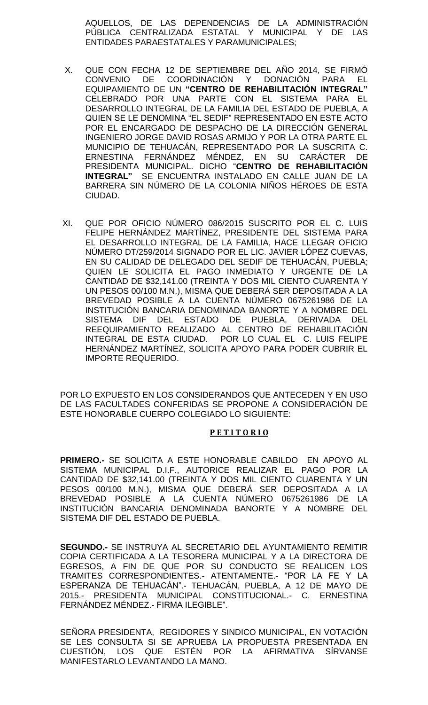AQUELLOS, DE LAS DEPENDENCIAS DE LA ADMINISTRACIÓN PÚBLICA CENTRALIZADA ESTATAL Y MUNICIPAL Y DE LAS ENTIDADES PARAESTATALES Y PARAMUNICIPALES;

- X. QUE CON FECHA 12 DE SEPTIEMBRE DEL AÑO 2014, SE FIRMÓ CONVENIO DE COORDINACIÓN Y DONACIÓN PARA EL EQUIPAMIENTO DE UN **"CENTRO DE REHABILITACIÓN INTEGRAL"**  CELEBRADO POR UNA PARTE CON EL SISTEMA PARA EL DESARROLLO INTEGRAL DE LA FAMILIA DEL ESTADO DE PUEBLA, A QUIEN SE LE DENOMINA "EL SEDIF" REPRESENTADO EN ESTE ACTO POR EL ENCARGADO DE DESPACHO DE LA DIRECCIÓN GENERAL INGENIERO JORGE DAVID ROSAS ARMIJO Y POR LA OTRA PARTE EL MUNICIPIO DE TEHUACÁN, REPRESENTADO POR LA SUSCRITA C. ERNESTINA FERNÁNDEZ MÉNDEZ, EN SU CARÁCTER DE PRESIDENTA MUNICIPAL. DICHO "**CENTRO DE REHABILITACIÓN INTEGRAL"** SE ENCUENTRA INSTALADO EN CALLE JUAN DE LA BARRERA SIN NÚMERO DE LA COLONIA NIÑOS HÉROES DE ESTA CIUDAD.
- XI. QUE POR OFICIO NÚMERO 086/2015 SUSCRITO POR EL C. LUIS FELIPE HERNÁNDEZ MARTÍNEZ, PRESIDENTE DEL SISTEMA PARA EL DESARROLLO INTEGRAL DE LA FAMILIA, HACE LLEGAR OFICIO NÚMERO DT/259/2014 SIGNADO POR EL LIC. JAVIER LÓPEZ CUEVAS, EN SU CALIDAD DE DELEGADO DEL SEDIF DE TEHUACÁN, PUEBLA; QUIEN LE SOLICITA EL PAGO INMEDIATO Y URGENTE DE LA CANTIDAD DE \$32,141.00 (TREINTA Y DOS MIL CIENTO CUARENTA Y UN PESOS 00/100 M.N.), MISMA QUE DEBERÁ SER DEPOSITADA A LA BREVEDAD POSIBLE A LA CUENTA NÚMERO 0675261986 DE LA INSTITUCIÓN BANCARIA DENOMINADA BANORTE Y A NOMBRE DEL SISTEMA DIF DEL ESTADO DE PUEBLA, DERIVADA DEL REEQUIPAMIENTO REALIZADO AL CENTRO DE REHABILITACIÓN INTEGRAL DE ESTA CIUDAD. POR LO CUAL EL C. LUIS FELIPE HERNÁNDEZ MARTÍNEZ, SOLICITA APOYO PARA PODER CUBRIR EL IMPORTE REQUERIDO.

POR LO EXPUESTO EN LOS CONSIDERANDOS QUE ANTECEDEN Y EN USO DE LAS FACULTADES CONFERIDAS SE PROPONE A CONSIDERACIÓN DE ESTE HONORABLE CUERPO COLEGIADO LO SIGUIENTE:

### **P E T I T O R I O**

**PRIMERO.-** SE SOLICITA A ESTE HONORABLE CABILDO EN APOYO AL SISTEMA MUNICIPAL D.I.F., AUTORICE REALIZAR EL PAGO POR LA CANTIDAD DE \$32,141.00 (TREINTA Y DOS MIL CIENTO CUARENTA Y UN PESOS 00/100 M.N.), MISMA QUE DEBERÁ SER DEPOSITADA A LA BREVEDAD POSIBLE A LA CUENTA NÚMERO 0675261986 DE LA INSTITUCIÓN BANCARIA DENOMINADA BANORTE Y A NOMBRE DEL SISTEMA DIF DEL ESTADO DE PUEBLA.

**SEGUNDO.-** SE INSTRUYA AL SECRETARIO DEL AYUNTAMIENTO REMITIR COPIA CERTIFICADA A LA TESORERA MUNICIPAL Y A LA DIRECTORA DE EGRESOS, A FIN DE QUE POR SU CONDUCTO SE REALICEN LOS TRAMITES CORRESPONDIENTES.- ATENTAMENTE.- "POR LA FE Y LA ESPERANZA DE TEHUACÁN".- TEHUACÁN, PUEBLA, A 12 DE MAYO DE 2015.- PRESIDENTA MUNICIPAL CONSTITUCIONAL.- C. ERNESTINA FERNÁNDEZ MÉNDEZ.- FIRMA ILEGIBLE".

SEÑORA PRESIDENTA, REGIDORES Y SINDICO MUNICIPAL, EN VOTACIÓN SE LES CONSULTA SI SE APRUEBA LA PROPUESTA PRESENTADA EN CUESTIÓN, LOS QUE ESTÉN POR LA AFIRMATIVA SÍRVANSE MANIFESTARLO LEVANTANDO LA MANO.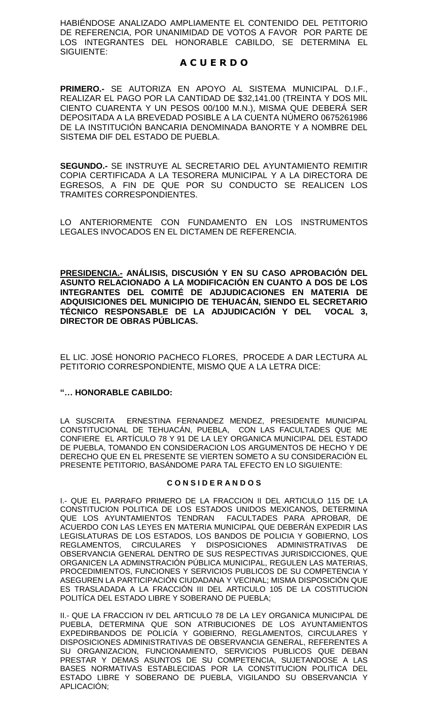HABIÉNDOSE ANALIZADO AMPLIAMENTE EL CONTENIDO DEL PETITORIO DE REFERENCIA, POR UNANIMIDAD DE VOTOS A FAVOR POR PARTE DE LOS INTEGRANTES DEL HONORABLE CABILDO, SE DETERMINA EL SIGUIENTE:

## **A C U E R D O**

**PRIMERO.-** SE AUTORIZA EN APOYO AL SISTEMA MUNICIPAL D.I.F., REALIZAR EL PAGO POR LA CANTIDAD DE \$32,141.00 (TREINTA Y DOS MIL CIENTO CUARENTA Y UN PESOS 00/100 M.N.), MISMA QUE DEBERÁ SER DEPOSITADA A LA BREVEDAD POSIBLE A LA CUENTA NÚMERO 0675261986 DE LA INSTITUCIÓN BANCARIA DENOMINADA BANORTE Y A NOMBRE DEL SISTEMA DIF DEL ESTADO DE PUEBLA.

**SEGUNDO.-** SE INSTRUYE AL SECRETARIO DEL AYUNTAMIENTO REMITIR COPIA CERTIFICADA A LA TESORERA MUNICIPAL Y A LA DIRECTORA DE EGRESOS, A FIN DE QUE POR SU CONDUCTO SE REALICEN LOS TRAMITES CORRESPONDIENTES.

LO ANTERIORMENTE CON FUNDAMENTO EN LOS INSTRUMENTOS LEGALES INVOCADOS EN EL DICTAMEN DE REFERENCIA.

**PRESIDENCIA.- ANÁLISIS, DISCUSIÓN Y EN SU CASO APROBACIÓN DEL ASUNTO RELACIONADO A LA MODIFICACIÓN EN CUANTO A DOS DE LOS INTEGRANTES DEL COMITÉ DE ADJUDICACIONES EN MATERIA DE ADQUISICIONES DEL MUNICIPIO DE TEHUACÁN, SIENDO EL SECRETARIO TÉCNICO RESPONSABLE DE LA ADJUDICACIÓN Y DEL VOCAL 3, DIRECTOR DE OBRAS PÚBLICAS.**

EL LIC. JOSÉ HONORIO PACHECO FLORES, PROCEDE A DAR LECTURA AL PETITORIO CORRESPONDIENTE, MISMO QUE A LA LETRA DICE:

## **"… HONORABLE CABILDO:**

LA SUSCRITA ERNESTINA FERNANDEZ MENDEZ, PRESIDENTE MUNICIPAL CONSTITUCIONAL DE TEHUACÁN, PUEBLA, CON LAS FACULTADES QUE ME CONFIERE EL ARTÍCULO 78 Y 91 DE LA LEY ORGANICA MUNICIPAL DEL ESTADO DE PUEBLA, TOMANDO EN CONSIDERACION LOS ARGUMENTOS DE HECHO Y DE DERECHO QUE EN EL PRESENTE SE VIERTEN SOMETO A SU CONSIDERACIÓN EL PRESENTE PETITORIO, BASÁNDOME PARA TAL EFECTO EN LO SIGUIENTE:

### **C O N S I D E R A N D O S**

I.- QUE EL PARRAFO PRIMERO DE LA FRACCION II DEL ARTICULO 115 DE LA CONSTITUCION POLITICA DE LOS ESTADOS UNIDOS MEXICANOS, DETERMINA QUE LOS AYUNTAMIENTOS TENDRAN FACULTADES PARA APROBAR, DE ACUERDO CON LAS LEYES EN MATERIA MUNICIPAL QUE DEBERÁN EXPEDIR LAS LEGISLATURAS DE LOS ESTADOS, LOS BANDOS DE POLICIA Y GOBIERNO, LOS REGLAMENTOS, CIRCULARES Y DISPOSICIONES ADMINISTRATIVAS DE OBSERVANCIA GENERAL DENTRO DE SUS RESPECTIVAS JURISDICCIONES, QUE ORGANICEN LA ADMINSTRACIÓN PÚBLICA MUNICIPAL, REGULEN LAS MATERIAS, PROCEDIMIENTOS, FUNCIONES Y SERVICIOS PUBLICOS DE SU COMPETENCIA Y ASEGUREN LA PARTICIPACIÓN CIUDADANA Y VECINAL; MISMA DISPOSICIÓN QUE ES TRASLADADA A LA FRACCIÓN III DEL ARTICULO 105 DE LA COSTITUCION POLITÍCA DEL ESTADO LIBRE Y SOBERANO DE PUEBLA;

II.- QUE LA FRACCION IV DEL ARTICULO 78 DE LA LEY ORGANICA MUNICIPAL DE PUEBLA, DETERMINA QUE SON ATRIBUCIONES DE LOS AYUNTAMIENTOS EXPEDIRBANDOS DE POLICÍA Y GOBIERNO, REGLAMENTOS, CIRCULARES Y DISPOSICIONES ADMINISTRATIVAS DE OBSERVANCIA GENERAL, REFERENTES A SU ORGANIZACION, FUNCIONAMIENTO, SERVICIOS PUBLICOS QUE DEBAN PRESTAR Y DEMAS ASUNTOS DE SU COMPETENCIA, SUJETANDOSE A LAS BASES NORMATIVAS ESTABLECIDAS POR LA CONSTITUCION POLITICA DEL ESTADO LIBRE Y SOBERANO DE PUEBLA, VIGILANDO SU OBSERVANCIA Y APLICACIÓN;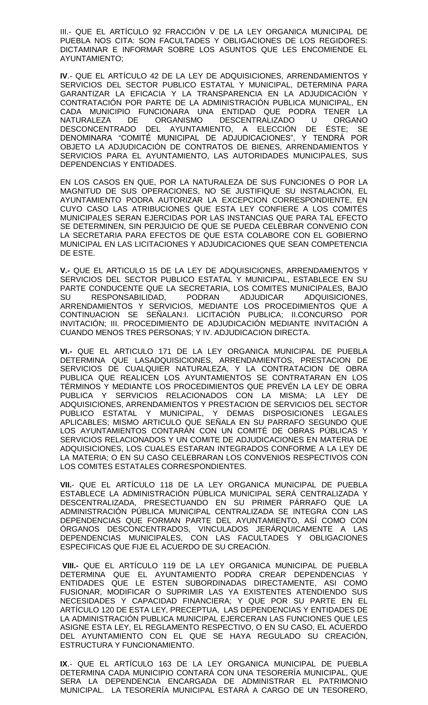III.- QUE EL ARTÍCULO 92 FRACCIÓN V DE LA LEY ORGANICA MUNICIPAL DE PUEBLA NOS CITA: SON FACULTADES Y OBLIGACIONES DE LOS REGIDORES: DICTAMINAR E INFORMAR SOBRE LOS ASUNTOS QUE LES ENCOMIENDE EL AYUNTAMIENTO;

**IV**.- QUE EL ARTÍCULO 42 DE LA LEY DE ADQUISICIONES, ARRENDAMIENTOS Y SERVICIOS DEL SECTOR PUBLICO ESTATAL Y MUNICIPAL, DETERMINA PARA GARANTIZAR LA EFICACIA Y LA TRANSPARENCIA EN LA ADJUDICACIÓN Y CONTRATACIÓN POR PARTE DE LA ADMINISTRACIÓN PUBLICA MUNICIPAL, EN CADA MUNICIPIO FUNCIONARA UNA ENTIDAD QUE PODRA TENER LA NATURALEZA DE ORGANISMO DESCENTRALIZADO U ORGANO DESCONCENTRADO DEL AYUNTAMIENTO, A ELECCIÓN DE ÉSTE; SE DENOMINARA "COMITÉ MUNICIPAL DE ADJUDICACIONES", Y TENDRÁ POR OBJETO LA ADJUDICACIÓN DE CONTRATOS DE BIENES, ARRENDAMIENTOS Y SERVICIOS PARA EL AYUNTAMIENTO, LAS AUTORIDADES MUNICIPALES, SUS DEPENDENCIAS Y ENTIDADES.

EN LOS CASOS EN QUE, POR LA NATURALEZA DE SUS FUNCIONES O POR LA MAGNITUD DE SUS OPERACIONES, NO SE JUSTIFIQUE SU INSTALACIÓN, EL AYUNTAMIENTO PODRA AUTORIZAR LA EXCEPCION CORRESPONDIENTE, EN CUYO CASO LAS ATRIBUCIONES QUE ESTA LEY CONFIERE A LOS COMITÉS MUNICIPALES SERAN EJERCIDAS POR LAS INSTANCIAS QUE PARA TAL EFECTO SE DETERMINEN, SIN PERJUICIO DE QUE SE PUEDA CELEBRAR CONVENIO CON LA SECRETARIA PARA EFECTOS DE QUE ESTA COLABORE CON EL GOBIERNO MUNICIPAL EN LAS LICITACIONES Y ADJUDICACIONES QUE SEAN COMPETENCIA DE ESTE.

**V.-** QUE EL ARTICULO 15 DE LA LEY DE ADQUISICIONES, ARRENDAMIENTOS Y SERVICIOS DEL SECTOR PUBLICO ESTATAL Y MUNICIPAL, ESTABLECE EN SU PARTE CONDUCENTE QUE LA SECRETARIA, LOS COMITES MUNICIPALES, BAJO SU RESPONSABILIDAD, PODRAN ADJUDICAR ADQUISICIONES, ARRENDAMIENTOS Y SERVICIOS, MEDIANTE LOS PROCEDIMIENTOS QUE A CONTINUACION SE SEÑALAN:I. LICITACIÓN PUBLICA; II.CONCURSO POR INVITACIÓN; III. PROCEDIMIENTO DE ADJUDICACIÓN MEDIANTE INVITACIÓN A CUANDO MENOS TRES PERSONAS; Y IV. ADJUDICACION DIRECTA.

**VI.-** QUE EL ARTICULO 171 DE LA LEY ORGANICA MUNICIPAL DE PUEBLA DETERMINA QUE LASADQUISICIONES, ARRENDAMIENTOS, PRESTACION DE SERVICIOS DE CUALQUIER NATURALEZA, Y LA CONTRATACION DE OBRA PUBLICA QUE REALICEN LOS AYUNTAMIENTOS SE CONTRATARAN EN LOS TÉRMINOS Y MEDIANTE LOS PROCEDIMIENTOS QUE PREVÉN LA LEY DE OBRA PUBLICA Y SERVICIOS RELACIONADOS CON LA MISMA; LA LEY DE ADQUISICIONES, ARRENDAMIENTOS Y PRESTACION DE SERVICIOS DEL SECTOR PUBLICO ESTATAL Y MUNICIPAL, Y DEMAS DISPOSICIONES LEGALES APLICABLES; MISMO ARTICULO QUE SEÑALA EN SU PARRAFO SEGUNDO QUE LOS AYUNTAMIENTOS CONTARÁN CON UN COMITÉ DE OBRAS PÚBLICAS Y SERVICIOS RELACIONADOS Y UN COMITE DE ADJUDICACIONES EN MATERIA DE ADQUISICIONES, LOS CUALES ESTARAN INTEGRADOS CONFORME A LA LEY DE LA MATERIA; O EN SU CASO CELEBRARAN LOS CONVENIOS RESPECTIVOS CON LOS COMITES ESTATALES CORRESPONDIENTES.

**VII.**- QUE EL ARTÍCULO 118 DE LA LEY ORGANICA MUNICIPAL DE PUEBLA ESTABLECE LA ADMINISTRACIÓN PÚBLICA MUNICIPAL SERÁ CENTRALIZADA Y DESCENTRALIZADA, PRESECTUANDO EN SU PRIMER PÁRRAFO QUE LA ADMINISTRACIÓN PÚBLICA MUNICIPAL CENTRALIZADA SE INTEGRA CON LAS DEPENDENCIAS QUE FORMAN PARTE DEL AYUNTAMIENTO, ASÍ COMO CON ÓRGANOS DESCONCENTRADOS, VINCULADOS JERÁRQUICAMENTE A LAS DEPENDENCIAS MUNICIPALES, CON LAS FACULTADES Y OBLIGACIONES ESPECIFICAS QUE FIJE EL ACUERDO DE SU CREACIÓN.

**VIII.-** QUE EL ARTÍCULO 119 DE LA LEY ORGANICA MUNICIPAL DE PUEBLA DETERMINA QUE EL AYUNTAMIENTO PODRA CREAR DEPENDENCIAS Y ENTIDADES QUE LE ESTEN SUBORDINADAS DIRECTAMENTE, ASI COMO FUSIONAR, MODIFICAR O SUPRIMIR LAS YA EXISTENTES ATENDIENDO SUS NECESIDADES Y CAPACIDAD FINANCIERA; Y QUE POR SU PARTE EN EL ARTÍCULO 120 DE ESTA LEY, PRECEPTUA, LAS DEPENDENCIAS Y ENTIDADES DE LA ADMINISTRACIÓN PUBLICA MUNICIPAL EJERCERAN LAS FUNCIONES QUE LES ASIGNE ESTA LEY, EL REGLAMENTO RESPECTIVO, O EN SU CASO, EL ACUERDO DEL AYUNTAMIENTO CON EL QUE SE HAYA REGULADO SU CREACIÓN, ESTRUCTURA Y FUNCIONAMIENTO.

**IX**.- QUE EL ARTÍCULO 163 DE LA LEY ORGANICA MUNICIPAL DE PUEBLA DETERMINA CADA MUNICIPIO CONTARÁ CON UNA TESORERÍA MUNICIPAL, QUE SERA LA DEPENDENCIA ENCARGADA DE ADMINISTRAR EL PATRIMONIO MUNICIPAL. LA TESORERÍA MUNICIPAL ESTARÁ A CARGO DE UN TESORERO,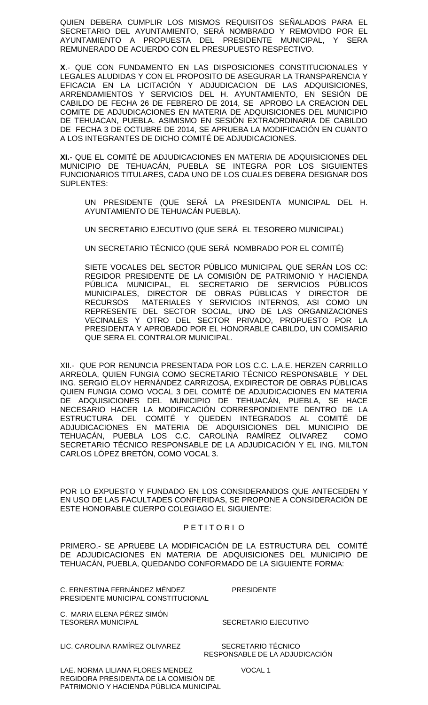QUIEN DEBERA CUMPLIR LOS MISMOS REQUISITOS SEÑALADOS PARA EL SECRETARIO DEL AYUNTAMIENTO, SERÁ NOMBRADO Y REMOVIDO POR EL AYUNTAMIENTO A PROPUESTA DEL PRESIDENTE MUNICIPAL, Y SERA REMUNERADO DE ACUERDO CON EL PRESUPUESTO RESPECTIVO.

**X**.- QUE CON FUNDAMENTO EN LAS DISPOSICIONES CONSTITUCIONALES Y LEGALES ALUDIDAS Y CON EL PROPOSITO DE ASEGURAR LA TRANSPARENCIA Y EFICACIA EN LA LICITACIÓN Y ADJUDICACION DE LAS ADQUISICIONES, ARRENDAMIENTOS Y SERVICIOS DEL H. AYUNTAMIENTO, EN SESIÓN DE CABILDO DE FECHA 26 DE FEBRERO DE 2014, SE APROBO LA CREACION DEL COMITE DE ADJUDICACIONES EN MATERIA DE ADQUISICIONES DEL MUNICIPIO DE TEHUACAN, PUEBLA. ASIMISMO EN SESIÓN EXTRAORDINARIA DE CABILDO DE FECHA 3 DE OCTUBRE DE 2014, SE APRUEBA LA MODIFICACIÓN EN CUANTO A LOS INTEGRANTES DE DICHO COMITÉ DE ADJUDICACIONES.

**XI.**- QUE EL COMITÉ DE ADJUDICACIONES EN MATERIA DE ADQUISICIONES DEL MUNICIPIO DE TEHUACÁN, PUEBLA SE INTEGRA POR LOS SIGUIENTES FUNCIONARIOS TITULARES, CADA UNO DE LOS CUALES DEBERA DESIGNAR DOS SUPLENTES:

UN PRESIDENTE (QUE SERÁ LA PRESIDENTA MUNICIPAL DEL H. AYUNTAMIENTO DE TEHUACÁN PUEBLA).

UN SECRETARIO EJECUTIVO (QUE SERÁ EL TESORERO MUNICIPAL)

UN SECRETARIO TÉCNICO (QUE SERÁ NOMBRADO POR EL COMITÉ)

SIETE VOCALES DEL SECTOR PÚBLICO MUNICIPAL QUE SERÁN LOS CC: REGIDOR PRESIDENTE DE LA COMISIÓN DE PATRIMONIO Y HACIENDA PÚBLICA MUNICIPAL, EL SECRETARIO DE SERVICIOS PÚBLICOS MUNICIPALES, DIRECTOR DE OBRAS PÚBLICAS Y DIRECTOR DE RECURSOS MATERIALES Y SERVICIOS INTERNOS, ASI COMO UN REPRESENTE DEL SECTOR SOCIAL, UNO DE LAS ORGANIZACIONES VECINALES Y OTRO DEL SECTOR PRIVADO, PROPUESTO POR LA PRESIDENTA Y APROBADO POR EL HONORABLE CABILDO, UN COMISARIO QUE SERA EL CONTRALOR MUNICIPAL.

XII.- QUE POR RENUNCIA PRESENTADA POR LOS C.C. L.A.E. HERZEN CARRILLO ARREOLA, QUIEN FUNGIA COMO SECRETARIO TÉCNICO RESPONSABLE Y DEL ING. SERGIO ELOY HERNÁNDEZ CARRIZOSA, EXDIRECTOR DE OBRAS PÚBLICAS QUIEN FUNGIA COMO VOCAL 3 DEL COMITÉ DE ADJUDICACIONES EN MATERIA DE ADQUISICIONES DEL MUNICIPIO DE TEHUACÁN, PUEBLA, SE HACE NECESARIO HACER LA MODIFICACIÓN CORRESPONDIENTE DENTRO DE LA ESTRUCTURA DEL COMITÉ Y QUEDEN INTEGRADOS AL COMITÉ DE ADJUDICACIONES EN MATERIA DE ADQUISICIONES DEL MUNICIPIO DE TEHUACÁN, PUEBLA LOS C.C. CAROLINA RAMÍREZ OLIVAREZ COMO SECRETARIO TÉCNICO RESPONSABLE DE LA ADJUDICACIÓN Y EL ING. MILTON CARLOS LÓPEZ BRETÓN, COMO VOCAL 3.

POR LO EXPUESTO Y FUNDADO EN LOS CONSIDERANDOS QUE ANTECEDEN Y EN USO DE LAS FACULTADES CONFERIDAS, SE PROPONE A CONSIDERACIÓN DE ESTE HONORABLE CUERPO COLEGIAGO EL SIGUIENTE:

### P E T I T O R I O

PRIMERO.- SE APRUEBE LA MODIFICACIÓN DE LA ESTRUCTURA DEL COMITÉ DE ADJUDICACIONES EN MATERIA DE ADQUISICIONES DEL MUNICIPIO DE TEHUACÁN, PUEBLA, QUEDANDO CONFORMADO DE LA SIGUIENTE FORMA:

C. ERNESTINA FERNÁNDEZ MÉNDEZ PRESIDENTE PRESIDENTE MUNICIPAL CONSTITUCIONAL

C. MARIA ELENA PÉREZ SIMÓN TESORERA MUNICIPAL SECRETARIO EJECUTIVO

LIC. CAROLINA RAMÍREZ OLIVAREZ SECRETARIO TÉCNICO

RESPONSABLE DE LA ADJUDICACIÓN

LAE. NORMA LILIANA FLORES MENDEZ VOCAL 1 REGIDORA PRESIDENTA DE LA COMISIÓN DE PATRIMONIO Y HACIENDA PÚBLICA MUNICIPAL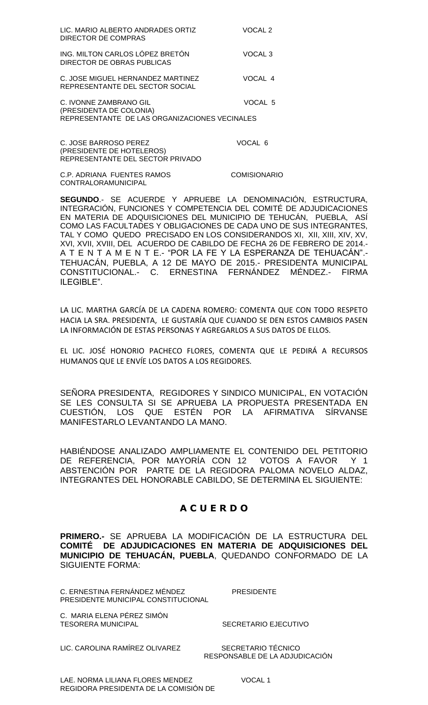| LIC. MARIO ALBERTO ANDRADES ORTIZ<br>DIRECTOR DE COMPRAS                                           | VOCAL 2             |
|----------------------------------------------------------------------------------------------------|---------------------|
| ING. MILTON CARLOS LÓPEZ BRETÓN<br>DIRECTOR DE OBRAS PUBLICAS                                      | VOCAL <sub>3</sub>  |
| C. JOSE MIGUEL HERNANDEZ MARTINEZ<br>REPRESENTANTE DEL SECTOR SOCIAL                               | VOCAL 4             |
| C. IVONNE ZAMBRANO GIL<br>(PRESIDENTA DE COLONIA)<br>REPRESENTANTE DE LAS ORGANIZACIONES VECINALES | VOCAL 5             |
| <b>C. JOSE BARROSO PEREZ</b><br>(PRESIDENTE DE HOTELEROS)<br>REPRESENTANTE DEL SECTOR PRIVADO      | VOCAL 6             |
| C.P. ADRIANA FUENTES RAMOS<br>CONTRALORAMUNICIPAL                                                  | <b>COMISIONARIO</b> |

**SEGUNDO**.- SE ACUERDE Y APRUEBE LA DENOMINACIÓN, ESTRUCTURA, INTEGRACIÓN, FUNCIONES Y COMPETENCIA DEL COMITÉ DE ADJUDICACIONES EN MATERIA DE ADQUISICIONES DEL MUNICIPIO DE TEHUCÁN, PUEBLA, ASÍ COMO LAS FACULTADES Y OBLIGACIONES DE CADA UNO DE SUS INTEGRANTES, TAL Y COMO QUEDO PRECISADO EN LOS CONSIDERANDOS XI, XII, XIII, XIV, XV, XVI, XVII, XVIII, DEL ACUERDO DE CABILDO DE FECHA 26 DE FEBRERO DE 2014.- A T E N T A M E N T E.- "POR LA FE Y LA ESPERANZA DE TEHUACÁN".- TEHUACÁN, PUEBLA, A 12 DE MAYO DE 2015.- PRESIDENTA MUNICIPAL CONSTITUCIONAL.- C. ERNESTINA FERNÁNDEZ MÉNDEZ.- FIRMA ILEGIBLE".

LA LIC. MARTHA GARCÍA DE LA CADENA ROMERO: COMENTA QUE CON TODO RESPETO HACIA LA SRA. PRESIDENTA, LE GUSTARÍA QUE CUANDO SE DEN ESTOS CAMBIOS PASEN LA INFORMACIÓN DE ESTAS PERSONAS Y AGREGARLOS A SUS DATOS DE ELLOS.

EL LIC. JOSÉ HONORIO PACHECO FLORES, COMENTA QUE LE PEDIRÁ A RECURSOS HUMANOS QUE LE ENVÍE LOS DATOS A LOS REGIDORES.

SEÑORA PRESIDENTA, REGIDORES Y SINDICO MUNICIPAL, EN VOTACIÓN SE LES CONSULTA SI SE APRUEBA LA PROPUESTA PRESENTADA EN CUESTIÓN, LOS QUE ESTÉN POR LA AFIRMATIVA SÍRVANSE MANIFESTARLO LEVANTANDO LA MANO.

HABIÉNDOSE ANALIZADO AMPLIAMENTE EL CONTENIDO DEL PETITORIO DE REFERENCIA, POR MAYORÍA CON 12 VOTOS A FAVOR Y 1 ABSTENCIÓN POR PARTE DE LA REGIDORA PALOMA NOVELO ALDAZ, INTEGRANTES DEL HONORABLE CABILDO, SE DETERMINA EL SIGUIENTE:

## **A C U E R D O**

**PRIMERO.-** SE APRUEBA LA MODIFICACIÓN DE LA ESTRUCTURA DEL **COMITÉ DE ADJUDICACIONES EN MATERIA DE ADQUISICIONES DEL MUNICIPIO DE TEHUACÁN, PUEBLA**, QUEDANDO CONFORMADO DE LA SIGUIENTE FORMA:

C. ERNESTINA FERNÁNDEZ MÉNDEZ PRESIDENTE PRESIDENTE MUNICIPAL CONSTITUCIONAL

C. MARIA ELENA PÉREZ SIMÓN TESORERA MUNICIPAL SECRETARIO EJECUTIVO

LIC. CAROLINA RAMÍREZ OLIVAREZ SECRETARIO TÉCNICO

RESPONSABLE DE LA ADJUDICACIÓN

LAE. NORMA LILIANA FLORES MENDEZ VOCAL 1 REGIDORA PRESIDENTA DE LA COMISIÓN DE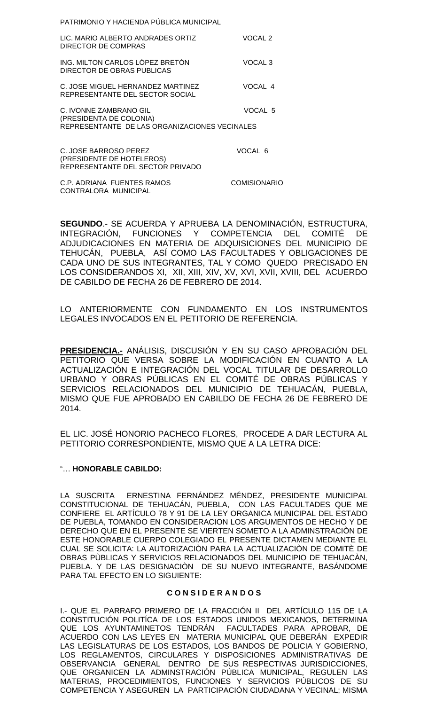PATRIMONIO Y HACIENDA PÚBLICA MUNICIPAL

| LIC. MARIO ALBERTO ANDRADES ORTIZ<br>DIRECTOR DE COMPRAS                                           | VOCAL 2            |
|----------------------------------------------------------------------------------------------------|--------------------|
| ING. MILTON CARLOS LÓPEZ BRETÓN<br>DIRECTOR DE OBRAS PUBLICAS                                      | VOCAL 3            |
| C. JOSE MIGUEL HERNANDEZ MARTINEZ<br>REPRESENTANTE DEL SECTOR SOCIAL                               | VOCAL 4            |
| C. IVONNE ZAMBRANO GIL<br>(PRESIDENTA DE COLONIA)<br>REPRESENTANTE DE LAS ORGANIZACIONES VECINALES | VOCAL <sub>5</sub> |
| C. JOSE BARROSO PEREZ<br>(PRESIDENTE DE HOTELEROS)<br>REPRESENTANTE DEL SECTOR PRIVADO             | VOCAL 6            |

C.P. ADRIANA FUENTES RAMOS COMISIONARIO CONTRALORA MUNICIPAL

**SEGUNDO**.- SE ACUERDA Y APRUEBA LA DENOMINACIÓN, ESTRUCTURA, INTEGRACIÓN, FUNCIONES Y COMPETENCIA DEL COMITÉ DE ADJUDICACIONES EN MATERIA DE ADQUISICIONES DEL MUNICIPIO DE TEHUCÁN, PUEBLA, ASÍ COMO LAS FACULTADES Y OBLIGACIONES DE CADA UNO DE SUS INTEGRANTES, TAL Y COMO QUEDO PRECISADO EN LOS CONSIDERANDOS XI, XII, XIII, XIV, XV, XVI, XVII, XVIII, DEL ACUERDO DE CABILDO DE FECHA 26 DE FEBRERO DE 2014.

LO ANTERIORMENTE CON FUNDAMENTO EN LOS INSTRUMENTOS LEGALES INVOCADOS EN EL PETITORIO DE REFERENCIA.

**PRESIDENCIA.-** ANÁLISIS, DISCUSIÓN Y EN SU CASO APROBACIÓN DEL PETITORIO QUE VERSA SOBRE LA MODIFICACIÓN EN CUANTO A LA ACTUALIZACIÓN E INTEGRACIÓN DEL VOCAL TITULAR DE DESARROLLO URBANO Y OBRAS PÚBLICAS EN EL COMITÉ DE OBRAS PÚBLICAS Y SERVICIOS RELACIONADOS DEL MUNICIPIO DE TEHUACÁN, PUEBLA, MISMO QUE FUE APROBADO EN CABILDO DE FECHA 26 DE FEBRERO DE 2014.

EL LIC. JOSÉ HONORIO PACHECO FLORES, PROCEDE A DAR LECTURA AL PETITORIO CORRESPONDIENTE, MISMO QUE A LA LETRA DICE:

### "… **HONORABLE CABILDO:**

LA SUSCRITA ERNESTINA FERNÁNDEZ MÉNDEZ, PRESIDENTE MUNICIPAL CONSTITUCIONAL DE TEHUACÁN, PUEBLA, CON LAS FACULTADES QUE ME CONFIERE EL ARTÍCULO 78 Y 91 DE LA LEY ORGANICA MUNICIPAL DEL ESTADO DE PUEBLA, TOMANDO EN CONSIDERACION LOS ARGUMENTOS DE HECHO Y DE DERECHO QUE EN EL PRESENTE SE VIERTEN SOMETO A LA ADMINSTRACIÒN DE ESTE HONORABLE CUERPO COLEGIADO EL PRESENTE DICTAMEN MEDIANTE EL CUAL SE SOLICITA: LA AUTORIZACIÒN PARA LA ACTUALIZACIÒN DE COMITÈ DE OBRAS PÙBLICAS Y SERVICIOS RELACIONADOS DEL MUNICIPIO DE TEHUACÀN, PUEBLA. Y DE LAS DESIGNACIÒN DE SU NUEVO INTEGRANTE, BASÁNDOME PARA TAL EFECTO EN LO SIGUIENTE:

### **C O N S I D E R A N D O S**

I.- QUE EL PARRAFO PRIMERO DE LA FRACCIÓN II DEL ARTÍCULO 115 DE LA CONSTITUCIÓN POLITÍCA DE LOS ESTADOS UNIDOS MEXICANOS, DETERMINA QUE LOS AYUNTAMINETOS TENDRÁN FACULTADES PARA APROBAR, DE ACUERDO CON LAS LEYES EN MATERIA MUNICIPAL QUE DEBERÁN EXPEDIR LAS LEGISLATURAS DE LOS ESTADOS, LOS BANDOS DE POLICIA Y GOBIERNO, LOS REGLAMENTOS, CIRCULARES Y DISPOSICIONES ADMINISTRATIVAS DE OBSERVANCIA GENERAL DENTRO DE SUS RESPECTIVAS JURISDICCIONES, QUE ORGANICEN LA ADMINSTRACIÓN PÚBLICA MUNICIPAL, REGULEN LAS MATERIAS, PROCEDIMIENTOS, FUNCIONES Y SERVICIOS PÚBLICOS DE SU COMPETENCIA Y ASEGUREN LA PARTICIPACIÓN CIUDADANA Y VECINAL; MISMA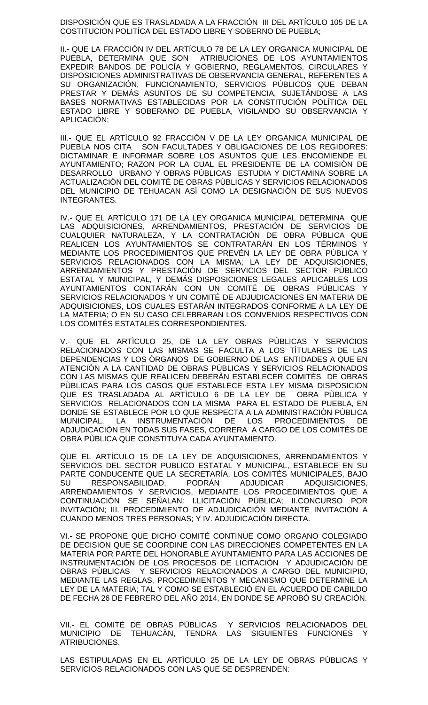DISPOSICIÓN QUE ES TRASLADADA A LA FRACCIÓN III DEL ARTÍCULO 105 DE LA COSTITUCION POLITÍCA DEL ESTADO LIBRE Y SOBERNO DE PUEBLA;

II.- QUE LA FRACCIÓN IV DEL ARTÍCULO 78 DE LA LEY ORGANICA MUNICIPAL DE PUEBLA, DETERMINA QUE SON ATRIBUCIONES DE LOS AYUNTAMIENTOS EXPEDIR BANDOS DE POLICÍA Y GOBIERNO, REGLAMENTOS, CIRCULARES Y DISPOSICIONES ADMINISTRATIVAS DE OBSERVANCIA GENERAL, REFERENTES A SU ORGANIZACIÓN, FUNCIONAMIENTO, SERVICIOS PÚBLICOS QUE DEBAN PRESTAR Y DEMÁS ASUNTOS DE SU COMPETENCIA, SUJETÁNDOSE A LAS BASES NORMATIVAS ESTABLECIDAS POR LA CONSTITUCIÓN POLÍTICA DEL ESTADO LIBRE Y SOBERANO DE PUEBLA, VIGILANDO SU OBSERVANCIA Y APLICACIÓN;

III.- QUE EL ARTÍCULO 92 FRACCIÓN V DE LA LEY ORGANICA MUNICIPAL DE PUEBLA NOS CITA SON FACULTADES Y OBLIGACIONES DE LOS REGIDORES: DICTAMINAR E INFORMAR SOBRE LOS ASUNTOS QUE LES ENCOMIENDE EL AYUNTAMIENTO; RAZON POR LA CUAL EL PRESIDENTE DE LA COMISIÒN DE DESARROLLO URBANO Y OBRAS PÙBLICAS ESTUDIA Y DICTAMINA SOBRE LA ACTUALIZACIÒN DEL COMITÈ DE OBRAS PÙBLICAS Y SERVICIOS RELACIONADOS DEL MUNICIPIO DE TEHUACAN ASÌ COMO LA DESIGNACIÒN DE SUS NUEVOS INTEGRANTES.

IV.- QUE EL ARTÌCULO 171 DE LA LEY ORGANICA MUNICIPAL DETERMINA QUE LAS ADQUISICIONES, ARRENDAMIENTOS, PRESTACIÓN DE SERVICIOS DE CUALQUIER NATURALEZA, Y LA CONTRATACIÓN DE OBRA PÚBLICA QUE REALICEN LOS AYUNTAMIENTOS SE CONTRATARÁN EN LOS TÉRMINOS Y MEDIANTE LOS PROCEDIMIENTOS QUE PREVÉN LA LEY DE OBRA PÚBLICA Y SERVICIOS RELACIONADOS CON LA MISMA; LA LEY DE ADQUISICIONES, ARRENDAMIENTOS Y PRESTACIÓN DE SERVICIOS DEL SECTOR PÚBLICO ESTATAL Y MUNICIPAL, Y DEMÁS DISPOSICIONES LEGALES APLICABLES LOS AYUNTAMIENTOS CONTARÁN CON UN COMITÉ DE OBRAS PÚBLICAS Y SERVICIOS RELACIONADOS Y UN COMITÉ DE ADJUDICACIONES EN MATERIA DE ADQUISICIONES, LOS CUALES ESTARÁN INTEGRADOS CONFORME A LA LEY DE LA MATERIA; O EN SU CASO CELEBRARAN LOS CONVENIOS RESPECTIVOS CON LOS COMITÉS ESTATALES CORRESPONDIENTES.

V.- QUE EL ARTÌCULO 25, DE LA LEY OBRAS PÙBLICAS Y SERVICIOS RELACIONADOS CON LAS MISMAS SE FACULTA A LOS TÌTULARES DE LAS DEPENDENCIAS Y LOS ÒRGANOS DE GOBIERNO DE LAS ENTIDADES A QUE EN ATENCIÒN A LA CANTIDAD DE OBRAS PÙBLICAS Y SERVICIOS RELACIONADOS CON LAS MISMAS QUE REALICEN DEBERÀN ESTABLECER COMITÈS DE OBRAS PÙBLICAS PARA LOS CASOS QUE ESTABLECE ESTA LEY MISMA DISPOSICION QUE ES TRASLADADA AL ARTÌCULO 6 DE LA LEY DE OBRA PÙBLICA Y SERVICIOS RELACIONADOS CON LA MISMA PARA EL ESTADO DE PUEBLA, EN DONDE SE ESTABLECE POR LO QUE RESPECTA A LA ADMINISTRACIÒN PÙBLICA MUNICIPAL, LA INSTRUMENTACIÒN DE LOS PROCEDIMIENTOS DE ADJUDICACIÒN EN TODAS SUS FASES, CORRERA A CARGO DE LOS COMITÈS DE OBRA PÙBLICA QUE CONSTITUYA CADA AYUNTAMIENTO.

QUE EL ARTÍCULO 15 DE LA LEY DE ADQUISICIONES, ARRENDAMIENTOS Y SERVICIOS DEL SECTOR PUBLICO ESTATAL Y MUNICIPAL, ESTABLECE EN SU PARTE CONDUCENTE QUE LA SECRETARÍA, LOS COMITÉS MUNICIPALES, BAJO<br>SU RESPONSABILIDAD, PODRÁN ADJUDICAR ADQUISICIONES, SU RESPONSABILIDAD, PODRÁN ADJUDICAR ADQUISICIONES, ARRENDAMIENTOS Y SERVICIOS, MEDIANTE LOS PROCEDIMIENTOS QUE A CONTINUACIÓN SE SEÑALAN: I.LICITACIÓN PÚBLICA; II.CONCURSO POR INVITACIÓN; III. PROCEDIMIENTO DE ADJUDICACIÓN MEDIANTE INVITACIÓN A CUANDO MENOS TRES PERSONAS; Y IV. ADJUDICACIÓN DIRECTA.

VI.- SE PROPONE QUE DICHO COMITÉ CONTINUE COMO ORGANO COLEGIADO DE DECISION QUE SE COORDINE CON LAS DIRECCIONES COMPETENTES EN LA MATERIA POR PARTE DEL HONORABLE AYUNTAMIENTO PARA LAS ACCIONES DE INSTRUMENTACIÒN DE LOS PROCESOS DE LICITACIÒN Y ADJUDICACIÒN DE OBRAS PÙBLICAS Y SERVICIOS RELACIONADOS A CARGO DEL MUNICIPIO, MEDIANTE LAS REGLAS, PROCEDIMIENTOS Y MECANISMO QUE DETERMINE LA LEY DE LA MATERIA; TAL Y COMO SE ESTABLECIÓ EN EL ACUERDO DE CABILDO DE FECHA 26 DE FEBRERO DEL AÑO 2014, EN DONDE SE APROBÓ SU CREACIÓN.

VII.- EL COMITÉ DE OBRAS PÙBLICAS Y SERVICIOS RELACIONADOS DEL MUNICIPIO DE TEHUACÀN, TENDRA LAS SIGUIENTES FUNCIONES Y ATRIBUCIONES.

LAS ESTIPULADAS EN EL ARTÌCULO 25 DE LA LEY DE OBRAS PÙBLICAS Y SERVICIOS RELACIONADOS CON LAS QUE SE DESPRENDEN: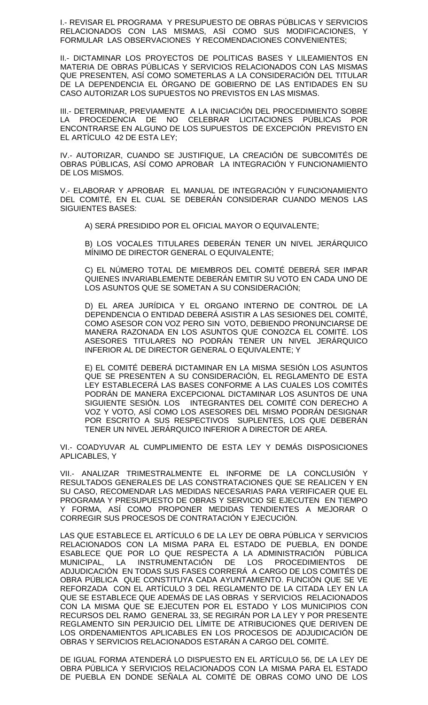I.- REVISAR EL PROGRAMA Y PRESUPUESTO DE OBRAS PÚBLICAS Y SERVICIOS RELACIONADOS CON LAS MISMAS, ASÌ COMO SUS MODIFICACIONES, Y FORMULAR LAS OBSERVACIONES Y RECOMENDACIONES CONVENIENTES;

II.- DICTAMINAR LOS PROYECTOS DE POLITICAS BASES Y LILEAMIENTOS EN MATERIA DE OBRAS PÚBLICAS Y SERVICIOS RELACIONADOS CON LAS MISMAS QUE PRESENTEN, ASÍ COMO SOMETERLAS A LA CONSIDERACIÓN DEL TITULAR DE LA DEPENDENCIA EL ÓRGANO DE GOBIERNO DE LAS ENTIDADES EN SU CASO AUTORIZAR LOS SUPUESTOS NO PREVISTOS EN LAS MISMAS.

III.- DETERMINAR, PREVIAMENTE A LA INICIACIÓN DEL PROCEDIMIENTO SOBRE LA PROCEDENCIA DE NO CELEBRAR LICITACIONES PÚBLICAS POR ENCONTRARSE EN ALGUNO DE LOS SUPUESTOS DE EXCEPCIÓN PREVISTO EN EL ARTÍCULO 42 DE ESTA LEY;

IV.- AUTORIZAR, CUANDO SE JUSTIFIQUE, LA CREACIÓN DE SUBCOMITÉS DE OBRAS PÚBLICAS, ASÍ COMO APROBAR LA INTEGRACIÓN Y FUNCIONAMIENTO DE LOS MISMOS.

V.- ELABORAR Y APROBAR EL MANUAL DE INTEGRACIÓN Y FUNCIONAMIENTO DEL COMITÉ, EN EL CUAL SE DEBERÁN CONSIDERAR CUANDO MENOS LAS SIGUIENTES BASES:

A) SERÁ PRESIDIDO POR EL OFICIAL MAYOR O EQUIVALENTE;

B) LOS VOCALES TITULARES DEBERÁN TENER UN NIVEL JERÁRQUICO MÍNIMO DE DIRECTOR GENERAL O EQUIVALENTE;

C) EL NÚMERO TOTAL DE MIEMBROS DEL COMITÉ DEBERÁ SER IMPAR QUIENES INVARIABLEMENTE DEBERÁN EMITIR SU VOTO EN CADA UNO DE LOS ASUNTOS QUE SE SOMETAN A SU CONSIDERACIÓN;

D) EL AREA JURÍDICA Y EL ORGANO INTERNO DE CONTROL DE LA DEPENDENCIA O ENTIDAD DEBERÁ ASISTIR A LAS SESIONES DEL COMITÉ, COMO ASESOR CON VOZ PERO SIN VOTO, DEBIENDO PRONUNCIARSE DE MANERA RAZONADA EN LOS ASUNTOS QUE CONOZCA EL COMITÉ. LOS ASESORES TITULARES NO PODRÁN TENER UN NIVEL JERÁRQUICO INFERIOR AL DE DIRECTOR GENERAL O EQUIVALENTE; Y

E) EL COMITÉ DEBERÁ DICTAMINAR EN LA MISMA SESIÓN LOS ASUNTOS QUE SE PRESENTEN A SU CONSIDERACIÓN, EL REGLAMENTO DE ESTA LEY ESTABLECERÁ LAS BASES CONFORME A LAS CUALES LOS COMITÉS PODRÁN DE MANERA EXCEPCIONAL DICTAMINAR LOS ASUNTOS DE UNA SIGUIENTE SESIÓN. LOS INTEGRANTES DEL COMITÉ CON DERECHO A VOZ Y VOTO, ASÍ COMO LOS ASESORES DEL MISMO PODRÁN DESIGNAR POR ESCRITO A SUS RESPECTIVOS SUPLENTES, LOS QUE DEBERÁN TENER UN NIVEL JERÁRQUICO INFERIOR A DIRECTOR DE AREA.

VI.- COADYUVAR AL CUMPLIMIENTO DE ESTA LEY Y DEMÁS DISPOSICIONES APLICABLES, Y

VII.- ANALIZAR TRIMESTRALMENTE EL INFORME DE LA CONCLUSIÓN Y RESULTADOS GENERALES DE LAS CONSTRATACIONES QUE SE REALICEN Y EN SU CASO, RECOMENDAR LAS MEDIDAS NECESARIAS PARA VERIFICAER QUE EL PROGRAMA Y PRESUPUESTO DE OBRAS Y SERVICIO SE EJECUTEN EN TIEMPO Y FORMA, ASÍ COMO PROPONER MEDIDAS TENDIENTES A MEJORAR O CORREGIR SUS PROCESOS DE CONTRATACIÓN Y EJECUCIÓN.

LAS QUE ESTABLECE EL ARTÍCULO 6 DE LA LEY DE OBRA PÚBLICA Y SERVICIOS RELACIONADOS CON LA MISMA PARA EL ESTADO DE PUEBLA, EN DONDE ESABLECE QUE POR LO QUE RESPECTA A LA ADMINISTRACIÓN PÚBLICA MUNICIPAL, LA INSTRUMENTACIÓN DE LOS PROCEDIMIENTOS DE ADJUDICACIÓN EN TODAS SUS FASES CORRERÁ A CARGO DE LOS COMITÉS DE OBRA PÚBLICA QUE CONSTITUYA CADA AYUNTAMIENTO. FUNCIÓN QUE SE VE REFORZADA CON EL ARTÍCULO 3 DEL REGLAMENTO DE LA CITADA LEY EN LA QUE SE ESTABLECE QUE ADEMÁS DE LAS OBRAS Y SERVICIOS RELACIONADOS CON LA MISMA QUE SE EJECUTEN POR EL ESTADO Y LOS MUNICIPIOS CON RECURSOS DEL RAMO GENERAL 33, SE REGIRÁN POR LA LEY Y POR PRESENTE REGLAMENTO SIN PERJUICIO DEL LÍMITE DE ATRIBUCIONES QUE DERIVEN DE LOS ORDENAMIENTOS APLICABLES EN LOS PROCESOS DE ADJUDICACIÓN DE OBRAS Y SERVICIOS RELACIONADOS ESTARÁN A CARGO DEL COMITÉ.

DE IGUAL FORMA ATENDERÁ LO DISPUESTO EN EL ARTÍCULO 56, DE LA LEY DE OBRA PÚBLICA Y SERVICIOS RELACIONADOS CON LA MISMA PARA EL ESTADO DE PUEBLA EN DONDE SEÑALA AL COMITÉ DE OBRAS COMO UNO DE LOS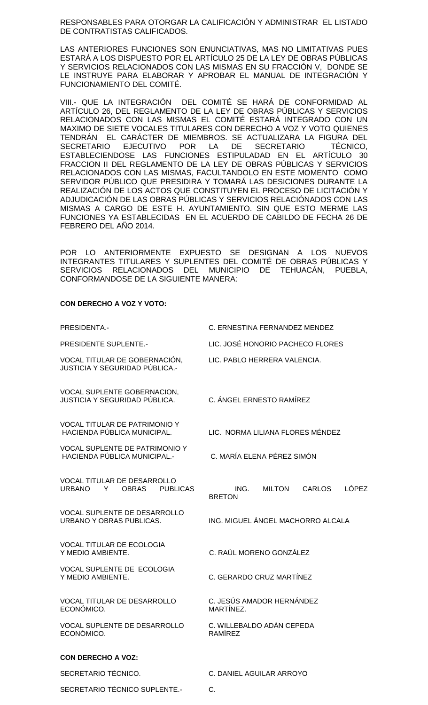RESPONSABLES PARA OTORGAR LA CALIFICACIÓN Y ADMINISTRAR EL LISTADO DE CONTRATISTAS CALIFICADOS.

LAS ANTERIORES FUNCIONES SON ENUNCIATIVAS, MAS NO LIMITATIVAS PUES ESTARÁ A LOS DISPUESTO POR EL ARTÍCULO 25 DE LA LEY DE OBRAS PÚBLICAS Y SERVICIOS RELACIONADOS CON LAS MISMAS EN SU FRACCIÓN V, DONDE SE LE INSTRUYE PARA ELABORAR Y APROBAR EL MANUAL DE INTEGRACIÓN Y FUNCIONAMIENTO DEL COMITÉ.

VIII.- QUE LA INTEGRACIÓN DEL COMITÉ SE HARÁ DE CONFORMIDAD AL ARTÍCULO 26, DEL REGLAMENTO DE LA LEY DE OBRAS PÚBLICAS Y SERVICIOS RELACIONADOS CON LAS MISMAS EL COMITÉ ESTARÁ INTEGRADO CON UN MAXIMO DE SIETE VOCALES TITULARES CON DERECHO A VOZ Y VOTO QUIENES TENDRÁN EL CARÁCTER DE MIEMBROS. SE ACTUALIZARA LA FIGURA DEL<br>SECRETARIO EJECUTIVO POR LA DE SECRETARIO TÉCNICO. SECRETARIO EJECUTIVO POR LA DE SECRETARIO TÉCNICO, ESTABLECIENDOSE LAS FUNCIONES ESTIPULADAD EN EL ARTÍCULO 30 FRACCION II DEL REGLAMENTO DE LA LEY DE OBRAS PÚBLICAS Y SERVICIOS RELACIONADOS CON LAS MISMAS, FACULTANDOLO EN ESTE MOMENTO COMO SERVIDOR PÚBLICO QUE PRESIDIRA Y TOMARÁ LAS DESICIONES DURANTE LA REALIZACIÓN DE LOS ACTOS QUE CONSTITUYEN EL PROCESO DE LICITACIÓN Y ADJUDICACIÓN DE LAS OBRAS PÚBLICAS Y SERVICIOS RELACIÓNADOS CON LAS MISMAS A CARGO DE ESTE H. AYUNTAMIENTO. SIN QUE ESTO MERME LAS FUNCIONES YA ESTABLECIDAS EN EL ACUERDO DE CABILDO DE FECHA 26 DE FEBRERO DEL AÑO 2014.

POR LO ANTERIORMENTE EXPUESTO SE DESIGNAN A LOS NUEVOS INTEGRANTES TITULARES Y SUPLENTES DEL COMITÉ DE OBRAS PÚBLICAS Y SERVICIOS RELACIONADOS DEL MUNICIPIO DE TEHUACÁN, PUEBLA, CONFORMANDOSE DE LA SIGUIENTE MANERA:

#### **CON DERECHO A VOZ Y VOTO:**

| PRESIDENTA.-                                                                                | C. ERNESTINA FERNANDEZ MENDEZ                                           |  |  |  |  |
|---------------------------------------------------------------------------------------------|-------------------------------------------------------------------------|--|--|--|--|
| <b>PRESIDENTE SUPLENTE.-</b>                                                                | LIC. JOSÉ HONORIO PACHECO FLORES                                        |  |  |  |  |
| VOCAL TITULAR DE GOBERNACIÓN,<br>JUSTICIA Y SEGURIDAD PÚBLICA.-                             | LIC. PABLO HERRERA VALENCIA.                                            |  |  |  |  |
| VOCAL SUPLENTE GOBERNACION,<br><b>JUSTICIA Y SEGURIDAD PÚBLICA.</b>                         | C. ÁNGEL ERNESTO RAMÍREZ                                                |  |  |  |  |
| VOCAL TITULAR DE PATRIMONIO Y<br>HACIENDA PÚBLICA MUNICIPAL.                                | LIC. NORMA LILIANA FLORES MÉNDEZ                                        |  |  |  |  |
| <b>VOCAL SUPLENTE DE PATRIMONIO Y</b><br><b>HACIENDA PÚBLICA MUNICIPAL.-</b>                | C. MARÍA ELENA PÉREZ SIMÓN                                              |  |  |  |  |
| <b>VOCAL TITULAR DE DESARROLLO</b><br><b>URBANO</b><br>Y<br><b>OBRAS</b><br><b>PUBLICAS</b> | <b>LÓPEZ</b><br>ING.<br><b>MILTON</b><br><b>CARLOS</b><br><b>BRETON</b> |  |  |  |  |
| <b>VOCAL SUPLENTE DE DESARROLLO</b><br>URBANO Y OBRAS PUBLICAS.                             | ING. MIGUEL ÁNGEL MACHORRO ALCALA                                       |  |  |  |  |
| <b>VOCAL TITULAR DE ECOLOGIA</b><br>Y MEDIO AMBIENTE.                                       | C. RAÚL MORENO GONZÁLEZ                                                 |  |  |  |  |
| VOCAL SUPLENTE DE ECOLOGIA<br>Y MEDIO AMBIENTE.                                             | C. GERARDO CRUZ MARTÍNEZ                                                |  |  |  |  |
| <b>VOCAL TITULAR DE DESARROLLO</b><br>ECONÓMICO.                                            | C. JESÚS AMADOR HERNÁNDEZ<br>MARTÍNEZ.                                  |  |  |  |  |
| VOCAL SUPLENTE DE DESARROLLO<br>ECONÓMICO.                                                  | C. WILLEBALDO ADÁN CEPEDA<br><b>RAMÍREZ</b>                             |  |  |  |  |
| <b>CON DERECHO A VOZ:</b>                                                                   |                                                                         |  |  |  |  |
| SECRETARIO TÉCNICO.                                                                         | C. DANIEL AGUILAR ARROYO                                                |  |  |  |  |

SECRETARIO TÉCNICO SUPLENTE.- C.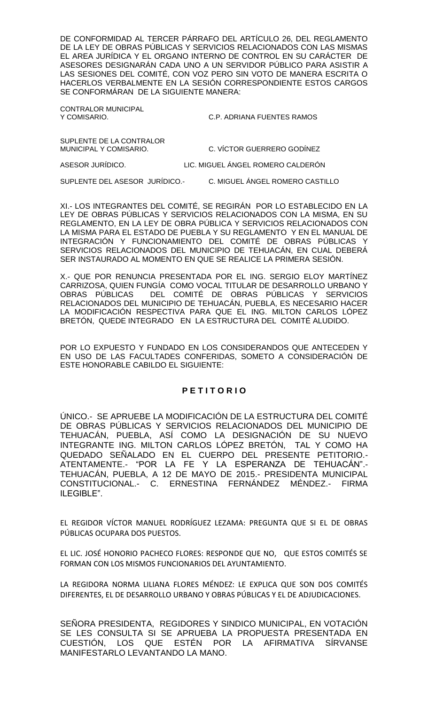DE CONFORMIDAD AL TERCER PÁRRAFO DEL ARTÍCULO 26, DEL REGLAMENTO DE LA LEY DE OBRAS PÚBLICAS Y SERVICIOS RELACIONADOS CON LAS MISMAS EL AREA JURÍDICA Y EL ORGANO INTERNO DE CONTROL EN SU CARÁCTER DE ASESORES DESIGNARÁN CADA UNO A UN SERVIDOR PÚBLICO PARA ASISTIR A LAS SESIONES DEL COMITÉ, CON VOZ PERO SIN VOTO DE MANERA ESCRITA O HACERLOS VERBALMENTE EN LA SESIÓN CORRESPONDIENTE ESTOS CARGOS SE CONFORMÁRAN DE LA SIGUIENTE MANERA:

CONTRALOR MUNICIPAL

Y COMISARIO. C.P. ADRIANA FUENTES RAMOS

SUPLENTE DE LA CONTRALOR<br>MUNICIPAL Y COMISARIO.

C. VÍCTOR GUERRERO GODÍNEZ

ASESOR JURÍDICO. LIC. MIGUEL ÁNGEL ROMERO CALDERÓN

SUPLENTE DEL ASESOR JURÍDICO.- C. MIGUEL ÁNGEL ROMERO CASTILLO

XI.- LOS INTEGRANTES DEL COMITÉ, SE REGIRÁN POR LO ESTABLECIDO EN LA LEY DE OBRAS PÚBLICAS Y SERVICIOS RELACIONADOS CON LA MISMA, EN SU REGLAMENTO, EN LA LEY DE OBRA PÚBLICA Y SERVICIOS RELACIONADOS CON LA MISMA PARA EL ESTADO DE PUEBLA Y SU REGLAMENTO Y EN EL MANUAL DE INTEGRACIÓN Y FUNCIONAMIENTO DEL COMITÉ DE OBRAS PÚBLICAS Y SERVICIOS RELACIONADOS DEL MUNICIPIO DE TEHUACÁN, EN CUAL DEBERÁ SER INSTAURADO AL MOMENTO EN QUE SE REALICE LA PRIMERA SESIÓN.

X.- QUE POR RENUNCIA PRESENTADA POR EL ING. SERGIO ELOY MARTÍNEZ CARRIZOSA, QUIEN FUNGÍA COMO VOCAL TITULAR DE DESARROLLO URBANO Y OBRAS PÚBLICAS DEL COMITÉ DE OBRAS PÚBLICAS Y SERVICIOS RELACIONADOS DEL MUNICIPIO DE TEHUACÁN, PUEBLA, ES NECESARIO HACER LA MODIFICACIÓN RESPECTIVA PARA QUE EL ING. MILTON CARLOS LÓPEZ BRETÓN, QUEDE INTEGRADO EN LA ESTRUCTURA DEL COMITÉ ALUDIDO.

POR LO EXPUESTO Y FUNDADO EN LOS CONSIDERANDOS QUE ANTECEDEN Y EN USO DE LAS FACULTADES CONFERIDAS, SOMETO A CONSIDERACIÓN DE ESTE HONORABLE CABILDO EL SIGUIENTE:

## **P E T I T O R I O**

ÚNICO.- SE APRUEBE LA MODIFICACIÓN DE LA ESTRUCTURA DEL COMITÉ DE OBRAS PÚBLICAS Y SERVICIOS RELACIONADOS DEL MUNICIPIO DE TEHUACÁN, PUEBLA, ASÍ COMO LA DESIGNACIÓN DE SU NUEVO INTEGRANTE ING. MILTON CARLOS LÓPEZ BRETÓN, TAL Y COMO HA QUEDADO SEÑALADO EN EL CUERPO DEL PRESENTE PETITORIO.- ATENTAMENTE.- "POR LA FE Y LA ESPERANZA DE TEHUACÁN".- TEHUACÁN, PUEBLA, A 12 DE MAYO DE 2015.- PRESIDENTA MUNICIPAL CONSTITUCIONAL.- C. ERNESTINA FERNÁNDEZ MÉNDEZ.- FIRMA ILEGIBLE".

EL REGIDOR VÍCTOR MANUEL RODRÍGUEZ LEZAMA: PREGUNTA QUE SI EL DE OBRAS PÚBLICAS OCUPARA DOS PUESTOS.

EL LIC. JOSÉ HONORIO PACHECO FLORES: RESPONDE QUE NO, QUE ESTOS COMITÉS SE FORMAN CON LOS MISMOS FUNCIONARIOS DEL AYUNTAMIENTO.

LA REGIDORA NORMA LILIANA FLORES MÉNDEZ: LE EXPLICA QUE SON DOS COMITÉS DIFERENTES, EL DE DESARROLLO URBANO Y OBRAS PÚBLICAS Y EL DE ADJUDICACIONES.

SEÑORA PRESIDENTA, REGIDORES Y SINDICO MUNICIPAL, EN VOTACIÓN SE LES CONSULTA SI SE APRUEBA LA PROPUESTA PRESENTADA EN CUESTIÓN, LOS QUE ESTÉN POR LA AFIRMATIVA SÍRVANSE MANIFESTARLO LEVANTANDO LA MANO.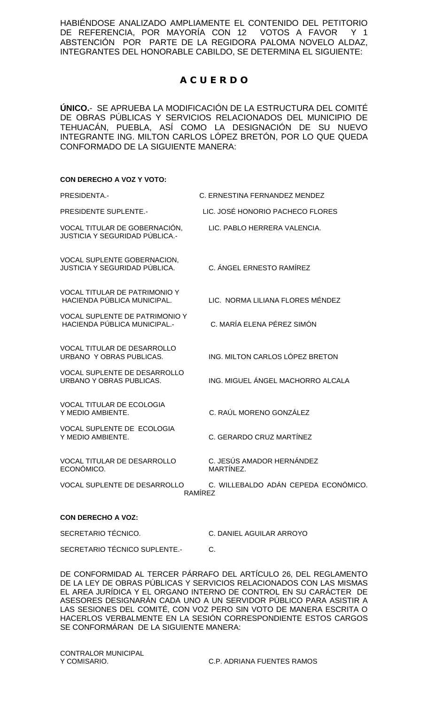HABIÉNDOSE ANALIZADO AMPLIAMENTE EL CONTENIDO DEL PETITORIO DE REFERENCIA, POR MAYORÍA CON 12 VOTOS A FAVOR Y 1 ABSTENCIÓN POR PARTE DE LA REGIDORA PALOMA NOVELO ALDAZ, INTEGRANTES DEL HONORABLE CABILDO, SE DETERMINA EL SIGUIENTE:

# **A C U E R D O**

**ÚNICO.**- SE APRUEBA LA MODIFICACIÓN DE LA ESTRUCTURA DEL COMITÉ DE OBRAS PÚBLICAS Y SERVICIOS RELACIONADOS DEL MUNICIPIO DE TEHUACÁN, PUEBLA, ASÍ COMO LA DESIGNACIÓN DE SU NUEVO INTEGRANTE ING. MILTON CARLOS LÓPEZ BRETÓN, POR LO QUE QUEDA CONFORMADO DE LA SIGUIENTE MANERA:

### **CON DERECHO A VOZ Y VOTO:**

| PRESIDENTA.-                                                                 | C. ERNESTINA FERNANDEZ MENDEZ                          |
|------------------------------------------------------------------------------|--------------------------------------------------------|
| <b>PRESIDENTE SUPLENTE.-</b>                                                 | LIC. JOSÉ HONORIO PACHECO FLORES                       |
| VOCAL TITULAR DE GOBERNACIÓN,<br><b>JUSTICIA Y SEGURIDAD PÚBLICA.-</b>       | LIC. PABLO HERRERA VALENCIA.                           |
| VOCAL SUPLENTE GOBERNACION,<br>JUSTICIA Y SEGURIDAD PÚBLICA.                 | C. ÁNGEL ERNESTO RAMÍREZ                               |
| VOCAL TITULAR DE PATRIMONIO Y<br>HACIENDA PÚBLICA MUNICIPAL.                 | LIC. NORMA LILIANA FLORES MÉNDEZ                       |
| <b>VOCAL SUPLENTE DE PATRIMONIO Y</b><br><b>HACIENDA PÚBLICA MUNICIPAL.-</b> | C. MARÍA ELENA PÉREZ SIMÓN                             |
| <b>VOCAL TITULAR DE DESARROLLO</b><br>URBANO Y OBRAS PUBLICAS.               | ING. MILTON CARLOS LÓPEZ BRETON                        |
| <b>VOCAL SUPLENTE DE DESARROLLO</b><br>URBANO Y OBRAS PUBLICAS.              | ING. MIGUEL ÁNGEL MACHORRO ALCALA                      |
| <b>VOCAL TITULAR DE ECOLOGIA</b><br>Y MEDIO AMBIENTE.                        | C. RAÚL MORENO GONZÁLEZ                                |
| VOCAL SUPLENTE DE ECOLOGIA<br>Y MEDIO AMBIENTE.                              | C. GERARDO CRUZ MARTÍNEZ                               |
| <b>VOCAL TITULAR DE DESARROLLO</b><br>ECONÓMICO.                             | C. JESÚS AMADOR HERNÁNDEZ<br>MARTÍNEZ.                 |
| VOCAL SUPLENTE DE DESARROLLO                                                 | C. WILLEBALDO ADÁN CEPEDA ECONÓMICO.<br><b>RAMÍREZ</b> |
| <b>CON DERECHO A VOZ:</b>                                                    |                                                        |

SECRETARIO TÉCNICO. C. DANIEL AGUILAR ARROYO

SECRETARIO TÉCNICO SUPLENTE.- C.

DE CONFORMIDAD AL TERCER PÁRRAFO DEL ARTÍCULO 26, DEL REGLAMENTO DE LA LEY DE OBRAS PÚBLICAS Y SERVICIOS RELACIONADOS CON LAS MISMAS EL AREA JURÍDICA Y EL ORGANO INTERNO DE CONTROL EN SU CARÁCTER DE ASESORES DESIGNARÁN CADA UNO A UN SERVIDOR PÚBLICO PARA ASISTIR A LAS SESIONES DEL COMITÉ, CON VOZ PERO SIN VOTO DE MANERA ESCRITA O HACERLOS VERBALMENTE EN LA SESIÓN CORRESPONDIENTE ESTOS CARGOS SE CONFORMÁRAN DE LA SIGUIENTE MANERA: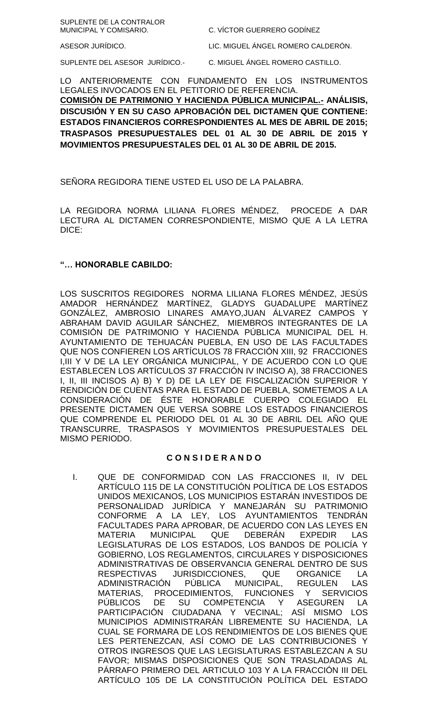| SUPLENTE DE LA CONTRALOR<br>MUNICIPAL Y COMISARIO. | C. VÍCTOR GUERRERO GODÍNEZ         |
|----------------------------------------------------|------------------------------------|
| ASESOR JURÍDICO.                                   | LIC. MIGUEL ÁNGEL ROMERO CALDERÓN. |
| SUPLENTE DEL ASESOR JURÍDICO.-                     | C. MIGUEL ÁNGEL ROMERO CASTILLO.   |

LO ANTERIORMENTE CON FUNDAMENTO EN LOS INSTRUMENTOS LEGALES INVOCADOS EN EL PETITORIO DE REFERENCIA. **COMISIÓN DE PATRIMONIO Y HACIENDA PÚBLICA MUNICIPAL.- ANÁLISIS, DISCUSIÓN Y EN SU CASO APROBACIÓN DEL DICTAMEN QUE CONTIENE: ESTADOS FINANCIEROS CORRESPONDIENTES AL MES DE ABRIL DE 2015; TRASPASOS PRESUPUESTALES DEL 01 AL 30 DE ABRIL DE 2015 Y MOVIMIENTOS PRESUPUESTALES DEL 01 AL 30 DE ABRIL DE 2015.**

SEÑORA REGIDORA TIENE USTED EL USO DE LA PALABRA.

LA REGIDORA NORMA LILIANA FLORES MÉNDEZ, PROCEDE A DAR LECTURA AL DICTAMEN CORRESPONDIENTE, MISMO QUE A LA LETRA DICE:

### **"… HONORABLE CABILDO:**

LOS SUSCRITOS REGIDORES NORMA LILIANA FLORES MÉNDEZ, JESÚS AMADOR HERNÁNDEZ MARTÍNEZ, GLADYS GUADALUPE MARTÍNEZ GONZÁLEZ, AMBROSIO LINARES AMAYO,JUAN ÁLVAREZ CAMPOS Y ABRAHAM DAVID AGUILAR SÁNCHEZ, MIEMBROS INTEGRANTES DE LA COMISIÓN DE PATRIMONIO Y HACIENDA PÚBLICA MUNICIPAL DEL H. AYUNTAMIENTO DE TEHUACÁN PUEBLA, EN USO DE LAS FACULTADES QUE NOS CONFIEREN LOS ARTÍCULOS 78 FRACCIÓN XIII, 92 FRACCIONES I,III Y V DE LA LEY ORGÁNICA MUNICIPAL, Y DE ACUERDO CON LO QUE ESTABLECEN LOS ARTÍCULOS 37 FRACCIÓN IV INCISO A), 38 FRACCIONES I, II, III INCISOS A) B) Y D) DE LA LEY DE FISCALIZACIÓN SUPERIOR Y RENDICIÓN DE CUENTAS PARA EL ESTADO DE PUEBLA, SOMETEMOS A LA CONSIDERACIÓN DE ÉSTE HONORABLE CUERPO COLEGIADO EL PRESENTE DICTAMEN QUE VERSA SOBRE LOS ESTADOS FINANCIEROS QUE COMPRENDE EL PERIODO DEL 01 AL 30 DE ABRIL DEL AÑO QUE TRANSCURRE, TRASPASOS Y MOVIMIENTOS PRESUPUESTALES DEL MISMO PERIODO.

### **C O N S I D E R A N D O**

I. QUE DE CONFORMIDAD CON LAS FRACCIONES II, IV DEL ARTÍCULO 115 DE LA CONSTITUCIÓN POLÍTICA DE LOS ESTADOS UNIDOS MEXICANOS, LOS MUNICIPIOS ESTARÁN INVESTIDOS DE PERSONALIDAD JURÍDICA Y MANEJARÁN SU PATRIMONIO CONFORME A LA LEY, LOS AYUNTAMIENTOS TENDRÁN FACULTADES PARA APROBAR, DE ACUERDO CON LAS LEYES EN MATERIA MUNICIPAL QUE DEBERÁN EXPEDIR LAS LEGISLATURAS DE LOS ESTADOS, LOS BANDOS DE POLICÍA Y GOBIERNO, LOS REGLAMENTOS, CIRCULARES Y DISPOSICIONES ADMINISTRATIVAS DE OBSERVANCIA GENERAL DENTRO DE SUS RESPECTIVAS JURISDICCIONES, QUE ORGANICE LA ADMINISTRACIÓN PÚBLICA MUNICIPAL, REGULEN LAS MATERIAS, PROCEDIMIENTOS, FUNCIONES Y SERVICIOS PÚBLICOS DE SU COMPETENCIA Y ASEGUREN LA PARTICIPACIÓN CIUDADANA Y VECINAL; ASÍ MISMO LOS MUNICIPIOS ADMINISTRARÁN LIBREMENTE SU HACIENDA, LA CUAL SE FORMARA DE LOS RENDIMIENTOS DE LOS BIENES QUE LES PERTENEZCAN, ASÍ COMO DE LAS CONTRIBUCIONES Y OTROS INGRESOS QUE LAS LEGISLATURAS ESTABLEZCAN A SU FAVOR; MISMAS DISPOSICIONES QUE SON TRASLADADAS AL PÁRRAFO PRIMERO DEL ARTICULO 103 Y A LA FRACCIÓN III DEL ARTÍCULO 105 DE LA CONSTITUCIÓN POLÍTICA DEL ESTADO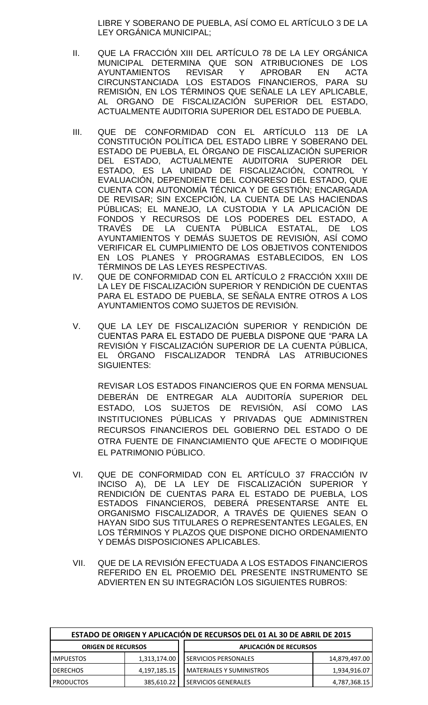LIBRE Y SOBERANO DE PUEBLA, ASÍ COMO EL ARTÍCULO 3 DE LA LEY ORGÁNICA MUNICIPAL;

- II. QUE LA FRACCIÓN XIII DEL ARTÍCULO 78 DE LA LEY ORGÁNICA MUNICIPAL DETERMINA QUE SON ATRIBUCIONES DE LOS AYUNTAMIENTOS REVISAR Y APROBAR EN ACTA CIRCUNSTANCIADA LOS ESTADOS FINANCIEROS, PARA SU REMISIÓN, EN LOS TÉRMINOS QUE SEÑALE LA LEY APLICABLE, AL ORGANO DE FISCALIZACIÓN SUPERIOR DEL ESTADO, ACTUALMENTE AUDITORIA SUPERIOR DEL ESTADO DE PUEBLA.
- III. QUE DE CONFORMIDAD CON EL ARTÍCULO 113 DE LA CONSTITUCIÓN POLÍTICA DEL ESTADO LIBRE Y SOBERANO DEL ESTADO DE PUEBLA, EL ÓRGANO DE FISCALIZACIÓN SUPERIOR DEL ESTADO, ACTUALMENTE AUDITORIA SUPERIOR DEL ESTADO, ES LA UNIDAD DE FISCALIZACIÓN, CONTROL Y EVALUACIÓN, DEPENDIENTE DEL CONGRESO DEL ESTADO, QUE CUENTA CON AUTONOMÍA TÉCNICA Y DE GESTIÓN; ENCARGADA DE REVISAR; SIN EXCEPCIÓN, LA CUENTA DE LAS HACIENDAS PÚBLICAS; EL MANEJO, LA CUSTODIA Y LA APLICACIÓN DE FONDOS Y RECURSOS DE LOS PODERES DEL ESTADO, A TRAVÉS DE LA CUENTA PÚBLICA ESTATAL, DE LOS AYUNTAMIENTOS Y DEMÁS SUJETOS DE REVISIÓN, ASÍ COMO VERIFICAR EL CUMPLIMIENTO DE LOS OBJETIVOS CONTENIDOS EN LOS PLANES Y PROGRAMAS ESTABLECIDOS, EN LOS TÉRMINOS DE LAS LEYES RESPECTIVAS.
- IV. QUE DE CONFORMIDAD CON EL ARTÍCULO 2 FRACCIÓN XXIII DE LA LEY DE FISCALIZACIÓN SUPERIOR Y RENDICIÓN DE CUENTAS PARA EL ESTADO DE PUEBLA, SE SEÑALA ENTRE OTROS A LOS AYUNTAMIENTOS COMO SUJETOS DE REVISIÓN.
- V. QUE LA LEY DE FISCALIZACIÓN SUPERIOR Y RENDICIÓN DE CUENTAS PARA EL ESTADO DE PUEBLA DISPONE QUE "PARA LA REVISIÓN Y FISCALIZACIÓN SUPERIOR DE LA CUENTA PÚBLICA, EL ÓRGANO FISCALIZADOR TENDRÁ LAS ATRIBUCIONES SIGUIENTES:

REVISAR LOS ESTADOS FINANCIEROS QUE EN FORMA MENSUAL DEBERÁN DE ENTREGAR ALA AUDITORÍA SUPERIOR DEL ESTADO, LOS SUJETOS DE REVISIÓN, ASÍ COMO LAS INSTITUCIONES PÚBLICAS Y PRIVADAS QUE ADMINISTREN RECURSOS FINANCIEROS DEL GOBIERNO DEL ESTADO O DE OTRA FUENTE DE FINANCIAMIENTO QUE AFECTE O MODIFIQUE EL PATRIMONIO PÚBLICO.

- VI. QUE DE CONFORMIDAD CON EL ARTÍCULO 37 FRACCIÓN IV INCISO A), DE LA LEY DE FISCALIZACIÓN SUPERIOR Y RENDICIÓN DE CUENTAS PARA EL ESTADO DE PUEBLA, LOS ESTADOS FINANCIEROS, DEBERÁ PRESENTARSE ANTE EL ORGANISMO FISCALIZADOR, A TRAVÉS DE QUIENES SEAN O HAYAN SIDO SUS TITULARES O REPRESENTANTES LEGALES, EN LOS TÉRMINOS Y PLAZOS QUE DISPONE DICHO ORDENAMIENTO Y DEMÁS DISPOSICIONES APLICABLES.
- VII. QUE DE LA REVISIÓN EFECTUADA A LOS ESTADOS FINANCIEROS REFERIDO EN EL PROEMIO DEL PRESENTE INSTRUMENTO SE ADVIERTEN EN SU INTEGRACIÓN LOS SIGUIENTES RUBROS:

| ESTADO DE ORIGEN Y APLICACIÓN DE RECURSOS DEL 01 AL 30 DE ABRIL DE 2015 |              |                                 |               |  |
|-------------------------------------------------------------------------|--------------|---------------------------------|---------------|--|
| APLICACIÓN DE RECURSOS<br><b>ORIGEN DE RECURSOS</b>                     |              |                                 |               |  |
| <b>IMPUESTOS</b>                                                        | 1,313,174.00 | <b>I SERVICIOS PERSONALES</b>   | 14,879,497.00 |  |
| <b>DERECHOS</b>                                                         | 4,197,185.15 | <b>MATERIALES Y SUMINISTROS</b> | 1,934,916.07  |  |
| <b>PRODUCTOS</b>                                                        | 385,610.22   | SERVICIOS GENERALES             | 4,787,368.15  |  |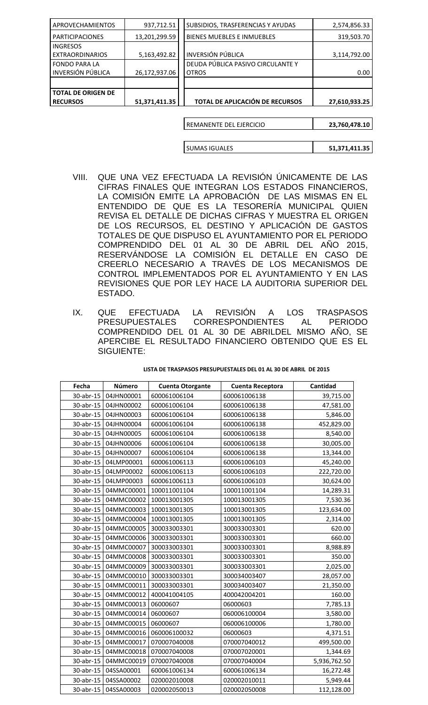| 51,371,411.35 | TOTAL DE APLICACIÓN DE RECURSOS   | 27,610,933.25 |
|---------------|-----------------------------------|---------------|
|               |                                   |               |
|               |                                   |               |
|               |                                   |               |
| 26,172,937.06 | <b>OTROS</b>                      | 0.00          |
|               | DEUDA PÚBLICA PASIVO CIRCULANTE Y |               |
| 5,163,492.82  | <b>INVERSIÓN PÚBLICA</b>          | 3,114,792.00  |
|               |                                   |               |
| 13,201,299.59 | BIENES MUEBLES E INMUEBLES        | 319,503.70    |
| 937,712.51    | SUBSIDIOS, TRASFERENCIAS Y AYUDAS | 2,574,856.33  |
|               |                                   |               |

| l REMANENTE DEL EJERCICIO | 23,760,478.10 |
|---------------------------|---------------|
|                           |               |
| <b>SUMAS IGUALES</b>      | 51,371,411.35 |

- VIII. QUE UNA VEZ EFECTUADA LA REVISIÓN ÚNICAMENTE DE LAS CIFRAS FINALES QUE INTEGRAN LOS ESTADOS FINANCIEROS, LA COMISIÓN EMITE LA APROBACIÓN DE LAS MISMAS EN EL ENTENDIDO DE QUE ES LA TESORERÍA MUNICIPAL QUIEN REVISA EL DETALLE DE DICHAS CIFRAS Y MUESTRA EL ORIGEN DE LOS RECURSOS, EL DESTINO Y APLICACIÓN DE GASTOS TOTALES DE QUE DISPUSO EL AYUNTAMIENTO POR EL PERIODO COMPRENDIDO DEL 01 AL 30 DE ABRIL DEL AÑO 2015, RESERVÁNDOSE LA COMISIÓN EL DETALLE EN CASO DE CREERLO NECESARIO A TRAVÉS DE LOS MECANISMOS DE CONTROL IMPLEMENTADOS POR EL AYUNTAMIENTO Y EN LAS REVISIONES QUE POR LEY HACE LA AUDITORIA SUPERIOR DEL ESTADO.
- IX. QUE EFECTUADA LA REVISIÓN A LOS TRASPASOS PRESUPUESTALES CORRESPONDIENTES AL PERIODO COMPRENDIDO DEL 01 AL 30 DE ABRILDEL MISMO AÑO, SE APERCIBE EL RESULTADO FINANCIERO OBTENIDO QUE ES EL SIGUIENTE:

| LISTA DE TRASPASOS PRESUPUESTALES DEL 01 AL 30 DE ABRIL DE 2015 |  |  |
|-----------------------------------------------------------------|--|--|
|                                                                 |  |  |

| Fecha     | Número     | <b>Cuenta Otorgante</b> | Cuenta Receptora | Cantidad     |
|-----------|------------|-------------------------|------------------|--------------|
| 30-abr-15 | 04JHN00001 | 600061006104            | 600061006138     | 39,715.00    |
| 30-abr-15 | 04JHN00002 | 600061006104            | 600061006138     | 47,581.00    |
| 30-abr-15 | 04JHN00003 | 600061006104            | 600061006138     | 5,846.00     |
| 30-abr-15 | 04JHN00004 | 600061006104            | 600061006138     | 452,829.00   |
| 30-abr-15 | 04JHN00005 | 600061006104            | 600061006138     | 8,540.00     |
| 30-abr-15 | 04JHN00006 | 600061006104            | 600061006138     | 30,005.00    |
| 30-abr-15 | 04JHN00007 | 600061006104            | 600061006138     | 13,344.00    |
| 30-abr-15 | 04LMP00001 | 600061006113            | 600061006103     | 45,240.00    |
| 30-abr-15 | 04LMP00002 | 600061006113            | 600061006103     | 222,720.00   |
| 30-abr-15 | 04LMP00003 | 600061006113            | 600061006103     | 30,624.00    |
| 30-abr-15 | 04MMC00001 | 100011001104            | 100011001104     | 14,289.31    |
| 30-abr-15 | 04MMC00002 | 100013001305            | 100013001305     | 7,530.36     |
| 30-abr-15 | 04MMC00003 | 100013001305            | 100013001305     | 123,634.00   |
| 30-abr-15 | 04MMC00004 | 100013001305            | 100013001305     | 2,314.00     |
| 30-abr-15 | 04MMC00005 | 300033003301            | 300033003301     | 620.00       |
| 30-abr-15 | 04MMC00006 | 300033003301            | 300033003301     | 660.00       |
| 30-abr-15 | 04MMC00007 | 300033003301            | 300033003301     | 8,988.89     |
| 30-abr-15 | 04MMC00008 | 300033003301            | 300033003301     | 350.00       |
| 30-abr-15 | 04MMC00009 | 300033003301            | 300033003301     | 2,025.00     |
| 30-abr-15 | 04MMC00010 | 300033003301            | 300034003407     | 28,057.00    |
| 30-abr-15 | 04MMC00011 | 300033003301            | 300034003407     | 21,350.00    |
| 30-abr-15 | 04MMC00012 | 400041004105            | 400042004201     | 160.00       |
| 30-abr-15 | 04MMC00013 | 06000607                | 06000603         | 7,785.13     |
| 30-abr-15 | 04MMC00014 | 06000607                | 060006100004     | 3,580.00     |
| 30-abr-15 | 04MMC00015 | 06000607                | 060006100006     | 1,780.00     |
| 30-abr-15 | 04MMC00016 | 060006100032            | 06000603         | 4,371.51     |
| 30-abr-15 | 04MMC00017 | 070007040008            | 070007040012     | 499,500.00   |
| 30-abr-15 | 04MMC00018 | 070007040008            | 070007020001     | 1,344.69     |
| 30-abr-15 | 04MMC00019 | 070007040008            | 070007040004     | 5,936,762.50 |
| 30-abr-15 | 04SSA00001 | 600061006134            | 600061006134     | 16,272.48    |
| 30-abr-15 | 04SSA00002 | 020002010008            | 020002010011     | 5,949.44     |
| 30-abr-15 | 04SSA00003 | 020002050013            | 020002050008     | 112,128.00   |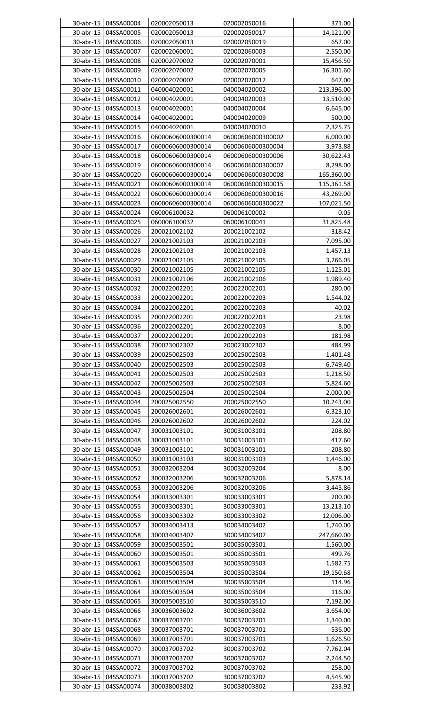|              | 30-abr-15 04SSA00004   | 020002050013      | 020002050016      | 371.00     |
|--------------|------------------------|-------------------|-------------------|------------|
| 30-abr-15    | 04SSA00005             | 020002050013      | 020002050017      | 14,121.00  |
| 30-abr-15    | 04SSA00006             | 020002050013      | 020002050019      | 657.00     |
| 30-abr-15    | 04SSA00007             | 020002060001      | 020002060003      | 2,550.00   |
| 30-abr-15    | 04SSA00008             | 020002070002      | 020002070001      | 15,456.50  |
| 30-abr-15    | 04SSA00009             | 020002070002      | 020002070005      | 16,301.60  |
| 30-abr-15    | 04SSA00010             | 020002070002      | 020002070012      | 647.00     |
|              |                        |                   |                   |            |
| 30-abr-15    | 04SSA00011             | 040004020001      | 040004020002      | 213,396.00 |
| 30-abr-15    | 04SSA00012             | 040004020001      | 040004020003      | 13,510.00  |
| 30-abr-15    | 04SSA00013             | 040004020001      | 040004020004      | 6,645.00   |
| 30-abr-15    | 04SSA00014             | 040004020001      | 040004020009      | 500.00     |
| 30-abr-15    | 04SSA00015             | 040004020001      | 040004020010      | 2,325.75   |
| 30-abr-15    | 04SSA00016             | 06000606000300014 | 06000606000300002 | 6,000.00   |
| 30-abr-15    | 04SSA00017             | 06000606000300014 | 06000606000300004 | 3,973.88   |
| 30-abr-15    | 04SSA00018             | 06000606000300014 | 06000606000300006 | 30,622.43  |
| 30-abr-15    | 04SSA00019             | 06000606000300014 | 06000606000300007 | 8,298.00   |
| 30-abr-15    | 04SSA00020             | 06000606000300014 | 06000606000300008 | 165,360.00 |
| 30-abr-15    | 04SSA00021             | 06000606000300014 | 06000606000300015 | 115,361.58 |
|              |                        | 06000606000300014 |                   |            |
| 30-abr-15    | 04SSA00022             |                   | 06000606000300016 | 43,269.00  |
| 30-abr-15    | 04SSA00023             | 06000606000300014 | 06000606000300022 | 107,021.50 |
| 30-abr-15    | 04SSA00024             | 060006100032      | 060006100002      | 0.05       |
| 30-abr-15    | 04SSA00025             | 060006100032      | 060006100041      | 31,825.48  |
| 30-abr-15    | 04SSA00026             | 200021002102      | 200021002102      | 318.42     |
| 30-abr-15    | 04SSA00027             | 200021002103      | 200021002103      | 7,095.00   |
| 30-abr-15    | 04SSA00028             | 200021002103      | 200021002103      | 1,457.13   |
| 30-abr-15    | 04SSA00029             | 200021002105      | 200021002105      | 3,266.05   |
| 30-abr-15    | 04SSA00030             | 200021002105      | 200021002105      | 1,125.01   |
| 30-abr-15    | 04SSA00031             | 200021002106      | 200021002106      | 1,989.40   |
| 30-abr-15    | 04SSA00032             | 200022002201      | 200022002201      | 280.00     |
|              |                        |                   |                   |            |
| 30-abr-15    | 04SSA00033             | 200022002201      | 200022002203      | 1,544.02   |
| $30$ -abr-15 | 04SSA00034             | 200022002201      | 200022002203      | 40.02      |
| 30-abr-15    | 04SSA00035             | 200022002201      | 200022002203      | 23.98      |
| 30-abr-15    | 04SSA00036             | 200022002201      | 200022002203      | 8.00       |
|              | 30-abr-15   04SSA00037 | 200022002201      | 200022002203      | 181.98     |
| 30-abr-15    | 04SSA00038             | 200023002302      | 200023002302      | 484.99     |
| 30-abr-15    | 04SSA00039             | 200025002503      | 200025002503      | 1,401.48   |
| 30-abr-15    | 04SSA00040             | 200025002503      | 200025002503      | 6,749.40   |
| 30-abr-15    | 04SSA00041             | 200025002503      | 200025002503      | 1,218.50   |
| 30-abr-15    | 04SSA00042             | 200025002503      | 200025002503      | 5,824.60   |
| 30-abr-15    | 04SSA00043             | 200025002504      | 200025002504      | 2,000.00   |
|              | 04SSA00044             |                   |                   |            |
| 30-abr-15    |                        | 200025002550      | 200025002550      | 10,243.00  |
| 30-abr-15    | 04SSA00045             | 200026002601      | 200026002601      | 6,323.10   |
| 30-abr-15    | 04SSA00046             | 200026002602      | 200026002602      | 224.02     |
| 30-abr-15    | 04SSA00047             | 300031003101      | 300031003101      | 208.80     |
| 30-abr-15    | 04SSA00048             | 300031003101      | 300031003101      | 417.60     |
| 30-abr-15    | 04SSA00049             | 300031003101      | 300031003101      | 208.80     |
| 30-abr-15    | 04SSA00050             | 300031003103      | 300031003103      | 1,446.00   |
| 30-abr-15    | 04SSA00051             | 300032003204      | 300032003204      | 8.00       |
| 30-abr-15    | 04SSA00052             | 300032003206      | 300032003206      | 5,878.14   |
| 30-abr-15    | 04SSA00053             | 300032003206      | 300032003206      | 3,445.86   |
| 30-abr-15    | 04SSA00054             | 300033003301      | 300033003301      | 200.00     |
| 30-abr-15    | 04SSA00055             | 300033003301      | 300033003301      | 13,213.10  |
|              | 04SSA00056             |                   |                   |            |
| 30-abr-15    |                        | 300033003302      | 300033003302      | 12,006.00  |
| 30-abr-15    | 04SSA00057             | 300034003413      | 300034003402      | 1,740.00   |
| 30-abr-15    | 04SSA00058             | 300034003407      | 300034003407      | 247,660.00 |
| 30-abr-15    | 04SSA00059             | 300035003501      | 300035003501      | 1,560.00   |
| 30-abr-15    | 04SSA00060             | 300035003501      | 300035003501      | 499.76     |
| 30-abr-15    | 04SSA00061             | 300035003503      | 300035003503      | 1,582.75   |
| 30-abr-15    | 04SSA00062             | 300035003504      | 300035003504      | 19,150.68  |
| 30-abr-15    | 04SSA00063             | 300035003504      | 300035003504      | 114.96     |
| 30-abr-15    | 04SSA00064             | 300035003504      | 300035003504      | 116.00     |
| 30-abr-15    | 04SSA00065             | 300035003510      | 300035003510      | 7,192.00   |
| 30-abr-15    | 04SSA00066             | 300036003602      | 300036003602      | 3,654.00   |
|              |                        |                   |                   |            |
| 30-abr-15    | 04SSA00067             | 300037003701      | 300037003701      | 1,340.00   |
| 30-abr-15    | 04SSA00068             | 300037003701      | 300037003701      | 536.00     |
|              | 30-abr-15 04SSA00069   | 300037003701      | 300037003701      | 1,626.50   |
| 30-abr-15    | 04SSA00070             | 300037003702      | 300037003702      | 7,762.04   |
| 30-abr-15    | 04SSA00071             | 300037003702      | 300037003702      | 2,244.50   |
| 30-abr-15    | 04SSA00072             | 300037003702      | 300037003702      | 258.00     |
| 30-abr-15    | 04SSA00073             | 300037003702      | 300037003702      | 4,545.90   |
|              | 30-abr-15   04SSA00074 | 300038003802      | 300038003802      | 233.92     |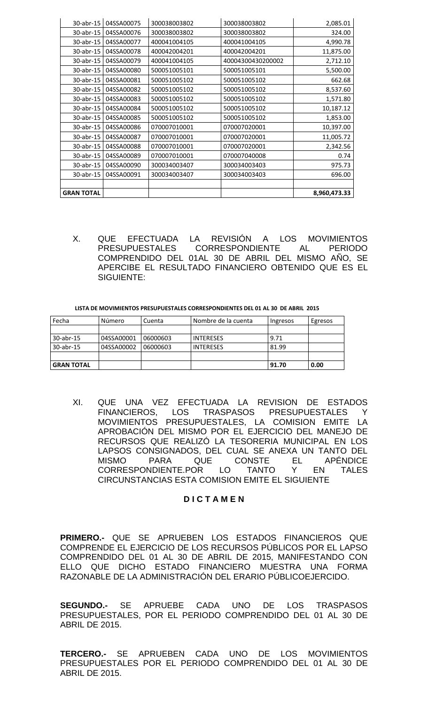| 30-abr-15         | 04SSA00075 | 300038003802 | 300038003802      | 2,085.01     |
|-------------------|------------|--------------|-------------------|--------------|
| 30-abr-15         | 04SSA00076 | 300038003802 | 300038003802      | 324.00       |
| 30-abr-15         | 04SSA00077 | 400041004105 | 400041004105      | 4,990.78     |
| 30-abr-15         | 04SSA00078 | 400042004201 | 400042004201      | 11,875.00    |
| 30-abr-15         | 04SSA00079 | 400041004105 | 40004300430200002 | 2,712.10     |
| 30-abr-15         | 04SSA00080 | 500051005101 | 500051005101      | 5,500.00     |
| 30-abr-15         | 04SSA00081 | 500051005102 | 500051005102      | 662.68       |
| 30-abr-15         | 04SSA00082 | 500051005102 | 500051005102      | 8,537.60     |
| 30-abr-15         | 04SSA00083 | 500051005102 | 500051005102      | 1,571.80     |
| 30-abr-15         | 04SSA00084 | 500051005102 | 500051005102      | 10,187.12    |
| 30-abr-15         | 04SSA00085 | 500051005102 | 500051005102      | 1,853.00     |
| 30-abr-15         | 04SSA00086 | 070007010001 | 070007020001      | 10,397.00    |
| 30-abr-15         | 04SSA00087 | 070007010001 | 070007020001      | 11,005.72    |
| 30-abr-15         | 04SSA00088 | 070007010001 | 070007020001      | 2,342.56     |
| 30-abr-15         | 04SSA00089 | 070007010001 | 070007040008      | 0.74         |
| 30-abr-15         | 04SSA00090 | 300034003407 | 300034003403      | 975.73       |
| 30-abr-15         | 04SSA00091 | 300034003407 | 300034003403      | 696.00       |
|                   |            |              |                   |              |
| <b>GRAN TOTAL</b> |            |              |                   | 8,960,473.33 |

X. QUE EFECTUADA LA REVISIÓN A LOS MOVIMIENTOS CORRESPONDIENTE **PRESUPUESTALES** AL. **PERIODO** COMPRENDIDO DEL 01AL 30 DE ABRIL DEL MISMO AÑO, SE APERCIBE EL RESULTADO FINANCIERO OBTENIDO QUE ES EL SIGUIENTE:

LISTA DE MOVIMIENTOS PRESUPUESTALES CORRESPONDIENTES DEL 01 AL 30 DE ABRIL 2015

| Fecha             | Número     | Cuenta   | Nombre de la cuenta | Ingresos | Egresos |
|-------------------|------------|----------|---------------------|----------|---------|
|                   |            |          |                     |          |         |
| 30-abr-15         | 04SSA00001 | 06000603 | <b>INTERESES</b>    | 9.71     |         |
| 30-abr-15         | 04SSA00002 | 06000603 | <b>INTERESES</b>    | 81.99    |         |
|                   |            |          |                     |          |         |
| <b>GRAN TOTAL</b> |            |          |                     | 91.70    | 0.00    |

QUE UNA VEZ EFECTUADA LA REVISION DE ESTADOS  $XL$ FINANCIEROS, LOS TRASPASOS PRESUPUESTALES Y MOVIMIENTOS PRESUPUESTALES, LA COMISION EMITE LA APROBACIÓN DEL MISMO POR EL EJERCICIO DEL MANEJO DE RECURSOS QUE REALIZÓ LA TESORERIA MUNICIPAL EN LOS LAPSOS CONSIGNADOS, DEL CUAL SE ANEXA UN TANTO DEL **MISMO PARA** CONSTE EL. **APÉNDICE QUE** CORRESPONDIENTE.POR LO **TANTO EN** Y **TALES** CIRCUNSTANCIAS ESTA COMISION EMITE EL SIGUIENTE

### **DICTAMEN**

**PRIMERO.- QUE SE APRUEBEN LOS ESTADOS FINANCIEROS QUE** COMPRENDE EL EJERCICIO DE LOS RECURSOS PÚBLICOS POR EL LAPSO COMPRENDIDO DEL 01 AL 30 DE ABRIL DE 2015, MANIFESTANDO CON ELLO QUE DICHO ESTADO FINANCIERO MUESTRA UNA FORMA RAZONABLE DE LA ADMINISTRACIÓN DEL ERARIO PÚBLICOEJERCIDO.

**SEGUNDO.-**- SE APRUEBE CADA **UNO** DE LOS **TRASPASOS** PRESUPUESTALES, POR EL PERIODO COMPRENDIDO DEL 01 AL 30 DE **ABRIL DE 2015.** 

TERCERO.- SE APRUEBEN CADA UNO DE LOS **MOVIMIENTOS** PRESUPUESTALES POR EL PERIODO COMPRENDIDO DEL 01 AL 30 DE **ABRIL DE 2015.**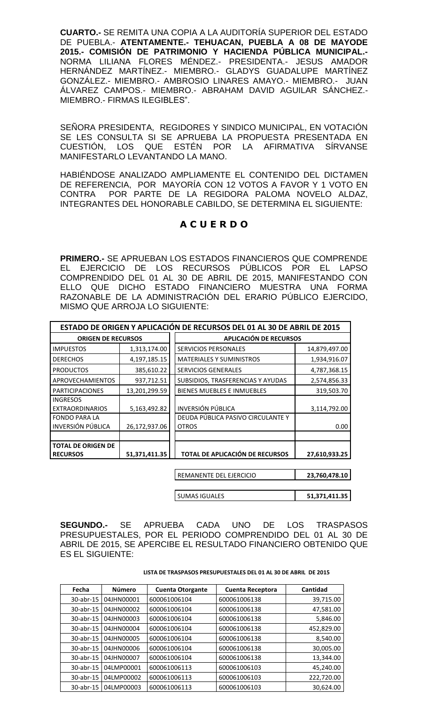**CUARTO.-** SE REMITA UNA COPIA A LA AUDITORÍA SUPERIOR DEL ESTADO DE PUEBLA.- **ATENTAMENTE.- TEHUACAN, PUEBLA A 08 DE MAYODE 2015.- COMISIÓN DE PATRIMONIO Y HACIENDA PÚBLICA MUNICIPAL.-** NORMA LILIANA FLORES MÉNDEZ.- PRESIDENTA.- JESUS AMADOR HERNÁNDEZ MARTÍNEZ.- MIEMBRO.- GLADYS GUADALUPE MARTÍNEZ GONZÁLEZ.- MIEMBRO.- AMBROSIO LINARES AMAYO.- MIEMBRO.- JUAN ÁLVAREZ CAMPOS.- MIEMBRO.- ABRAHAM DAVID AGUILAR SÁNCHEZ.- MIEMBRO.- FIRMAS ILEGIBLES".

SEÑORA PRESIDENTA, REGIDORES Y SINDICO MUNICIPAL, EN VOTACIÓN SE LES CONSULTA SI SE APRUEBA LA PROPUESTA PRESENTADA EN CUESTIÓN, LOS QUE ESTÉN POR LA AFIRMATIVA SÍRVANSE MANIFESTARLO LEVANTANDO LA MANO.

HABIÉNDOSE ANALIZADO AMPLIAMENTE EL CONTENIDO DEL DICTAMEN DE REFERENCIA, POR MAYORÍA CON 12 VOTOS A FAVOR Y 1 VOTO EN CONTRA POR PARTE DE LA REGIDORA PALOMA NOVELO ALDAZ, INTEGRANTES DEL HONORABLE CABILDO, SE DETERMINA EL SIGUIENTE:

## **A C U E R D O**

**PRIMERO.-** SE APRUEBAN LOS ESTADOS FINANCIEROS QUE COMPRENDE EL EJERCICIO DE LOS RECURSOS PÚBLICOS POR EL LAPSO COMPRENDIDO DEL 01 AL 30 DE ABRIL DE 2015, MANIFESTANDO CON ELLO QUE DICHO ESTADO FINANCIERO MUESTRA UNA FORMA RAZONABLE DE LA ADMINISTRACIÓN DEL ERARIO PÚBLICO EJERCIDO, MISMO QUE ARROJA LO SIGUIENTE:

|                                              |               | ESTADO DE ORIGEN Y APLICACIÓN DE RECURSOS DEL 01 AL 30 DE ABRIL DE 2015 |               |
|----------------------------------------------|---------------|-------------------------------------------------------------------------|---------------|
| <b>ORIGEN DE RECURSOS</b>                    |               | APLICACIÓN DE RECURSOS                                                  |               |
| <b>IMPUESTOS</b>                             | 1,313,174.00  | <b>SERVICIOS PERSONALES</b>                                             | 14,879,497.00 |
| <b>DERECHOS</b>                              | 4,197,185.15  | <b>MATERIALES Y SUMINISTROS</b>                                         | 1,934,916.07  |
| <b>PRODUCTOS</b>                             | 385,610.22    | <b>SERVICIOS GENERALES</b>                                              | 4,787,368.15  |
| <b>APROVECHAMIENTOS</b>                      | 937,712.51    | SUBSIDIOS, TRASFERENCIAS Y AYUDAS                                       | 2,574,856.33  |
| <b>PARTICIPACIONES</b>                       | 13,201,299.59 | <b>BIENES MUEBLES E INMUEBLES</b>                                       | 319,503.70    |
| <b>INGRESOS</b><br><b>EXTRAORDINARIOS</b>    | 5,163,492.82  | <b>INVERSIÓN PÚBLICA</b>                                                | 3,114,792.00  |
| <b>FONDO PARA LA</b><br>INVERSIÓN PÚBLICA    | 26,172,937.06 | DEUDA PÚBLICA PASIVO CIRCULANTE Y<br><b>OTROS</b>                       | 0.00          |
| <b>TOTAL DE ORIGEN DE</b><br><b>RECURSOS</b> | 51,371,411.35 | TOTAL DE APLICACIÓN DE RECURSOS                                         | 27,610,933.25 |

REMANENTE DEL EJERCICIO **23,760,478.10**

SUMAS IGUALES **51,371,411.35**

**SEGUNDO.-** SE APRUEBA CADA UNO DE LOS TRASPASOS PRESUPUESTALES, POR EL PERIODO COMPRENDIDO DEL 01 AL 30 DE ABRIL DE 2015, SE APERCIBE EL RESULTADO FINANCIERO OBTENIDO QUE ES EL SIGUIENTE:

**LISTA DE TRASPASOS PRESUPUESTALES DEL 01 AL 30 DE ABRIL DE 2015**

| Fecha     | <b>Número</b> | <b>Cuenta Otorgante</b> | <b>Cuenta Receptora</b> | Cantidad   |
|-----------|---------------|-------------------------|-------------------------|------------|
| 30-abr-15 | 04JHN00001    | 600061006104            | 600061006138            | 39,715.00  |
| 30-abr-15 | 04JHN00002    | 600061006104            | 600061006138            | 47,581.00  |
| 30-abr-15 | 04JHN00003    | 600061006104            | 600061006138            | 5,846.00   |
| 30-abr-15 | 04JHN00004    | 600061006104            | 600061006138            | 452,829.00 |
| 30-abr-15 | 04JHN00005    | 600061006104            | 600061006138            | 8,540.00   |
| 30-abr-15 | 04JHN00006    | 600061006104            | 600061006138            | 30,005.00  |
| 30-abr-15 | 04JHN00007    | 600061006104            | 600061006138            | 13,344.00  |
| 30-abr-15 | 04LMP00001    | 600061006113            | 600061006103            | 45,240.00  |
| 30-abr-15 | 04LMP00002    | 600061006113            | 600061006103            | 222,720.00 |
| 30-abr-15 | 04LMP00003    | 600061006113            | 600061006103            | 30,624.00  |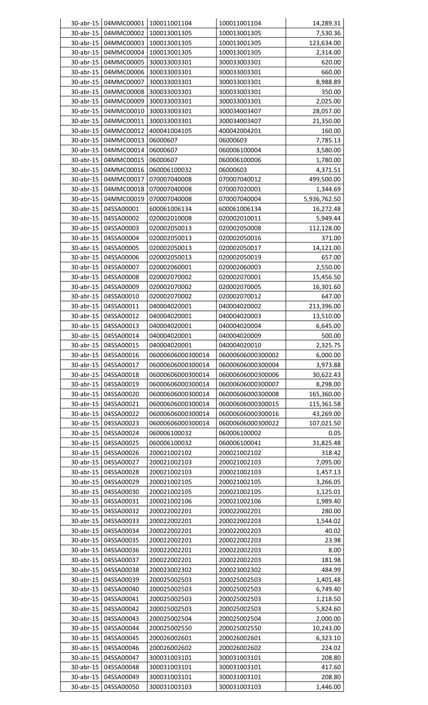|                        | 30-abr-15 04MMC00001     | 100011001104                      | 100011001104                      | 14,289.31          |
|------------------------|--------------------------|-----------------------------------|-----------------------------------|--------------------|
| 30-abr-15              | 04MMC00002               | 100013001305                      | 100013001305                      | 7,530.36           |
| 30-abr-15              | 04MMC00003               | 100013001305                      | 100013001305                      | 123,634.00         |
| 30-abr-15              | 04MMC00004               | 100013001305                      | 100013001305                      | 2,314.00           |
| 30-abr-15              | 04MMC00005               | 300033003301                      | 300033003301                      | 620.00             |
| 30-abr-15              | 04MMC00006               | 300033003301                      | 300033003301                      | 660.00             |
| 30-abr-15              | 04MMC00007               | 300033003301                      | 300033003301                      | 8,988.89           |
| 30-abr-15              | 04MMC00008               | 300033003301                      | 300033003301                      | 350.00             |
| 30-abr-15              | 04MMC00009               | 300033003301                      | 300033003301                      | 2,025.00           |
| 30-abr-15              | 04MMC00010               | 300033003301                      | 300034003407                      | 28,057.00          |
| 30-abr-15              | 04MMC00011               | 300033003301                      | 300034003407                      | 21,350.00          |
| 30-abr-15              | 04MMC00012               | 400041004105                      | 400042004201                      | 160.00             |
| $30$ -abr-15           | 04MMC00013               | 06000607                          | 06000603                          | 7,785.13           |
| 30-abr-15              | 04MMC00014               | 06000607                          | 060006100004                      | 3,580.00           |
| 30-abr-15              | 04MMC00015               | 06000607                          | 060006100006                      | 1,780.00           |
| 30-abr-15              | 04MMC00016               | 060006100032                      | 06000603                          | 4,371.51           |
| 30-abr-15              | 04MMC00017               | 070007040008                      | 070007040012                      | 499,500.00         |
| 30-abr-15              | 04MMC00018               | 070007040008                      | 070007020001                      | 1,344.69           |
| 30-abr-15              | 04MMC00019               | 070007040008                      | 070007040004                      | 5,936,762.50       |
| 30-abr-15              | 04SSA00001               | 600061006134                      | 600061006134                      | 16,272.48          |
| 30-abr-15              | 04SSA00002               | 020002010008                      | 020002010011                      | 5,949.44           |
| 30-abr-15              | 04SSA00003               | 020002050013                      | 020002050008                      | 112,128.00         |
| 30-abr-15              | 04SSA00004               | 020002050013                      | 020002050016                      | 371.00             |
| 30-abr-15              | 04SSA00005               | 020002050013                      | 020002050017                      | 14,121.00          |
| 30-abr-15              | 04SSA00006               | 020002050013                      | 020002050019                      | 657.00             |
| 30-abr-15              | 04SSA00007               | 020002060001                      | 020002060003                      | 2,550.00           |
| 30-abr-15              | 04SSA00008               | 020002070002                      | 020002070001                      | 15,456.50          |
| 30-abr-15              | 04SSA00009               | 020002070002                      | 020002070005                      | 16,301.60          |
| 30-abr-15              | 04SSA00010               | 020002070002                      | 020002070012                      | 647.00             |
| 30-abr-15              | 04SSA00011               | 040004020001                      | 040004020002                      | 213,396.00         |
| 30-abr-15              | 04SSA00012               | 040004020001                      | 040004020003                      | 13,510.00          |
| 30-abr-15              | 04SSA00013               | 040004020001                      | 040004020004                      | 6,645.00           |
| 30-abr-15              | 04SSA00014               | 040004020001                      | 040004020009                      | 500.00             |
| 30-abr-15              | 04SSA00015               | 040004020001                      | 040004020010                      | 2,325.75           |
| 30-abr-15              | 04SSA00016               | 06000606000300014                 | 06000606000300002                 | 6,000.00           |
| 30-abr-15              | 04SSA00017               | 06000606000300014                 | 06000606000300004                 | 3,973.88           |
| 30-abr-15              | 04SSA00018               | 06000606000300014                 | 06000606000300006                 | 30,622.43          |
| 30-abr-15              | 04SSA00019               | 06000606000300014                 | 06000606000300007                 | 8,298.00           |
| 30-abr-15              | 04SSA00020               | 06000606000300014                 | 06000606000300008                 | 165,360.00         |
| 30-abr-15              | 04SSA00021<br>04SSA00022 | 06000606000300014                 | 06000606000300015                 | 115,361.58         |
| 30-abr-15<br>30-abr-15 |                          | 06000606000300014                 | 06000606000300016                 | 43,269.00          |
| 30-abr-15              | 04SSA00023<br>04SSA00024 | 06000606000300014<br>060006100032 | 06000606000300022<br>060006100002 | 107,021.50<br>0.05 |
| 30-abr-15              | 04SSA00025               | 060006100032                      | 060006100041                      | 31,825.48          |
| 30-abr-15              | 04SSA00026               | 200021002102                      | 200021002102                      | 318.42             |
| 30-abr-15              | 04SSA00027               | 200021002103                      | 200021002103                      | 7,095.00           |
| 30-abr-15              | 04SSA00028               | 200021002103                      | 200021002103                      | 1,457.13           |
| 30-abr-15              | 04SSA00029               | 200021002105                      | 200021002105                      | 3,266.05           |
| 30-abr-15              | 04SSA00030               | 200021002105                      | 200021002105                      | 1,125.01           |
| 30-abr-15              | 04SSA00031               | 200021002106                      | 200021002106                      | 1,989.40           |
| 30-abr-15              | 04SSA00032               | 200022002201                      | 200022002201                      | 280.00             |
| 30-abr-15              | 04SSA00033               | 200022002201                      | 200022002203                      | 1,544.02           |
| 30-abr-15              | 04SSA00034               | 200022002201                      | 200022002203                      | 40.02              |
| 30-abr-15              | 04SSA00035               | 200022002201                      | 200022002203                      | 23.98              |
| 30-abr-15              | 04SSA00036               | 200022002201                      | 200022002203                      | 8.00               |
| 30-abr-15              | 04SSA00037               | 200022002201                      | 200022002203                      | 181.98             |
| 30-abr-15              | 04SSA00038               | 200023002302                      | 200023002302                      | 484.99             |
| 30-abr-15              | 04SSA00039               | 200025002503                      | 200025002503                      | 1,401.48           |
| 30-abr-15              | 04SSA00040               | 200025002503                      | 200025002503                      | 6,749.40           |
| 30-abr-15              | 04SSA00041               | 200025002503                      | 200025002503                      | 1,218.50           |
| 30-abr-15              | 04SSA00042               | 200025002503                      | 200025002503                      | 5,824.60           |
| 30-abr-15              | 04SSA00043               | 200025002504                      | 200025002504                      | 2,000.00           |
| 30-abr-15              | 04SSA00044               | 200025002550                      | 200025002550                      | 10,243.00          |
| 30-abr-15              | 04SSA00045               | 200026002601                      | 200026002601                      | 6,323.10           |
| 30-abr-15              | 04SSA00046               | 200026002602                      | 200026002602                      | 224.02             |
| 30-abr-15              | 04SSA00047               | 300031003101                      | 300031003101                      | 208.80             |
| 30-abr-15              | 04SSA00048               | 300031003101                      | 300031003101                      | 417.60             |
| 30-abr-15              | 04SSA00049               | 300031003101                      | 300031003101                      | 208.80             |
|                        | 30-abr-15<br>04SSA00050  | 300031003103                      | 300031003103                      | 1,446.00           |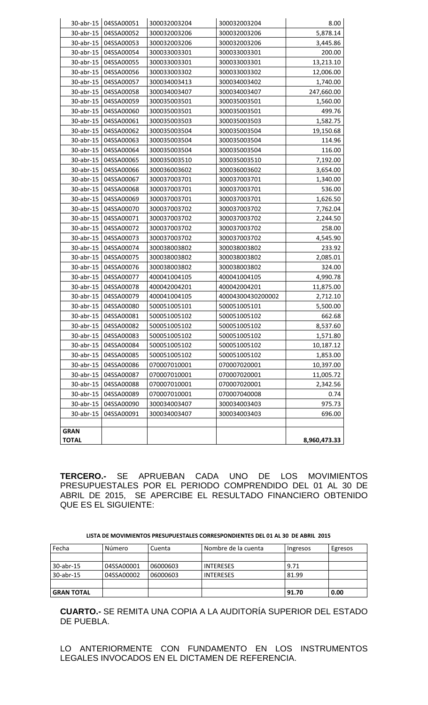| 30-abr-15    | 04SSA00051 | 300032003204 | 300032003204      | 8.00         |
|--------------|------------|--------------|-------------------|--------------|
| 30-abr-15    | 04SSA00052 | 300032003206 | 300032003206      | 5,878.14     |
| 30-abr-15    | 04SSA00053 | 300032003206 | 300032003206      | 3,445.86     |
| 30-abr-15    | 04SSA00054 | 300033003301 | 300033003301      | 200.00       |
| 30-abr-15    | 04SSA00055 | 300033003301 | 300033003301      | 13,213.10    |
| 30-abr-15    | 04SSA00056 | 300033003302 | 300033003302      | 12,006.00    |
| 30-abr-15    | 04SSA00057 | 300034003413 | 300034003402      | 1,740.00     |
| 30-abr-15    | 04SSA00058 | 300034003407 | 300034003407      | 247,660.00   |
| 30-abr-15    | 04SSA00059 | 300035003501 | 300035003501      | 1,560.00     |
| 30-abr-15    | 04SSA00060 | 300035003501 | 300035003501      | 499.76       |
| 30-abr-15    | 04SSA00061 | 300035003503 | 300035003503      | 1,582.75     |
| 30-abr-15    | 04SSA00062 | 300035003504 | 300035003504      | 19,150.68    |
| 30-abr-15    | 04SSA00063 | 300035003504 | 300035003504      | 114.96       |
| 30-abr-15    | 04SSA00064 | 300035003504 | 300035003504      | 116.00       |
| 30-abr-15    | 04SSA00065 | 300035003510 | 300035003510      | 7,192.00     |
| 30-abr-15    | 04SSA00066 | 300036003602 | 300036003602      | 3,654.00     |
| 30-abr-15    | 04SSA00067 | 300037003701 | 300037003701      | 1,340.00     |
| 30-abr-15    | 04SSA00068 | 300037003701 | 300037003701      | 536.00       |
| 30-abr-15    | 04SSA00069 | 300037003701 | 300037003701      | 1,626.50     |
| 30-abr-15    | 04SSA00070 | 300037003702 | 300037003702      | 7,762.04     |
| 30-abr-15    | 04SSA00071 | 300037003702 | 300037003702      | 2,244.50     |
| 30-abr-15    | 04SSA00072 | 300037003702 | 300037003702      | 258.00       |
| 30-abr-15    | 04SSA00073 | 300037003702 | 300037003702      | 4,545.90     |
| 30-abr-15    | 04SSA00074 | 300038003802 | 300038003802      | 233.92       |
| 30-abr-15    | 04SSA00075 | 300038003802 | 300038003802      | 2,085.01     |
| 30-abr-15    | 04SSA00076 | 300038003802 | 300038003802      | 324.00       |
| 30-abr-15    | 04SSA00077 | 400041004105 | 400041004105      | 4,990.78     |
| 30-abr-15    | 04SSA00078 | 400042004201 | 400042004201      | 11,875.00    |
| 30-abr-15    | 04SSA00079 | 400041004105 | 40004300430200002 | 2,712.10     |
| 30-abr-15    | 04SSA00080 | 500051005101 | 500051005101      | 5,500.00     |
| 30-abr-15    | 04SSA00081 | 500051005102 | 500051005102      | 662.68       |
| 30-abr-15    | 04SSA00082 | 500051005102 | 500051005102      | 8,537.60     |
| 30-abr-15    | 04SSA00083 | 500051005102 | 500051005102      | 1,571.80     |
| 30-abr-15    | 04SSA00084 | 500051005102 | 500051005102      | 10,187.12    |
| 30-abr-15    | 04SSA00085 | 500051005102 | 500051005102      | 1,853.00     |
| 30-abr-15    | 04SSA00086 | 070007010001 | 070007020001      | 10,397.00    |
| 30-abr-15    | 04SSA00087 | 070007010001 | 070007020001      | 11,005.72    |
| 30-abr-15    | 04SSA00088 | 070007010001 | 070007020001      | 2,342.56     |
| 30-abr-15    | 04SSA00089 | 070007010001 | 070007040008      | 0.74         |
| 30-abr-15    | 04SSA00090 | 300034003407 | 300034003403      | 975.73       |
| 30-abr-15    | 04SSA00091 | 300034003407 | 300034003403      | 696.00       |
|              |            |              |                   |              |
| <b>GRAN</b>  |            |              |                   |              |
| <b>TOTAL</b> |            |              |                   | 8,960,473.33 |

TERCERO.- SE APRUEBAN CADA UNO DE LOS MOVIMIENTOS PRESUPUESTALES POR EL PERIODO COMPRENDIDO DEL 01 AL 30 DE ABRIL DE 2015, SE APERCIBE EL RESULTADO FINANCIERO OBTENIDO QUE ES EL SIGUIENTE:

|  |  |  | LISTA DE MOVIMIENTOS PRESUPUESTALES CORRESPONDIENTES DEL 01 AL 30 DE ABRIL 2015 |  |  |
|--|--|--|---------------------------------------------------------------------------------|--|--|
|  |  |  |                                                                                 |  |  |

| Fecha             | Número     | Cuenta   | Nombre de la cuenta | Ingresos | Egresos |
|-------------------|------------|----------|---------------------|----------|---------|
|                   |            |          |                     |          |         |
| $30$ -abr-15      | 04SSA00001 | 06000603 | <b>INTERESES</b>    | 9.71     |         |
| $30$ -abr-15      | 04SSA00002 | 06000603 | <b>INTERESES</b>    | 81.99    |         |
|                   |            |          |                     |          |         |
| <b>GRAN TOTAL</b> |            |          |                     | 91.70    | 0.00    |

**CUARTO.-** SE REMITA UNA COPIA A LA AUDITORÍA SUPERIOR DEL ESTADO DE PUEBLA.

LO ANTERIORMENTE CON FUNDAMENTO EN LOS INSTRUMENTOS LEGALES INVOCADOS EN EL DICTAMEN DE REFERENCIA.